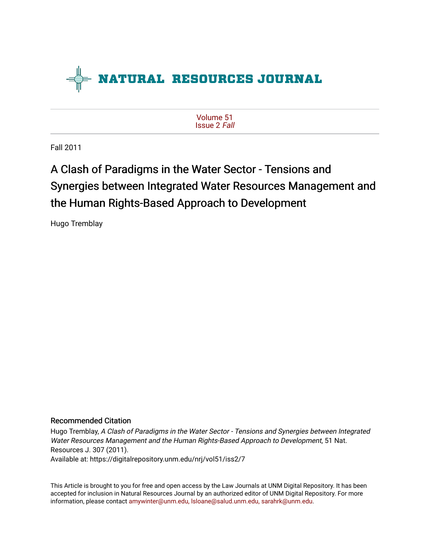

[Volume 51](https://digitalrepository.unm.edu/nrj/vol51) [Issue 2](https://digitalrepository.unm.edu/nrj/vol51/iss2) Fall

Fall 2011

# A Clash of Paradigms in the Water Sector - Tensions and Synergies between Integrated Water Resources Management and the Human Rights-Based Approach to Development

Hugo Tremblay

# Recommended Citation

Hugo Tremblay, A Clash of Paradigms in the Water Sector - Tensions and Synergies between Integrated Water Resources Management and the Human Rights-Based Approach to Development, 51 Nat. Resources J. 307 (2011). Available at: https://digitalrepository.unm.edu/nrj/vol51/iss2/7

This Article is brought to you for free and open access by the Law Journals at UNM Digital Repository. It has been accepted for inclusion in Natural Resources Journal by an authorized editor of UNM Digital Repository. For more information, please contact [amywinter@unm.edu, lsloane@salud.unm.edu, sarahrk@unm.edu](mailto:amywinter@unm.edu,%20lsloane@salud.unm.edu,%20sarahrk@unm.edu).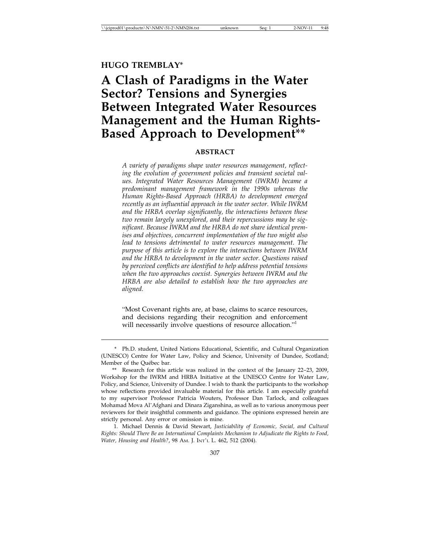**HUGO TREMBLAY**\*

# **A Clash of Paradigms in the Water Sector? Tensions and Synergies Between Integrated Water Resources Management and the Human Rights-Based Approach to Development**\*\*

#### **ABSTRACT**

*A variety of paradigms shape water resources management, reflecting the evolution of government policies and transient societal values. Integrated Water Resources Management (IWRM) became a predominant management framework in the 1990s whereas the Human Rights-Based Approach (HRBA) to development emerged recently as an influential approach in the water sector. While IWRM and the HRBA overlap significantly, the interactions between these two remain largely unexplored, and their repercussions may be significant. Because IWRM and the HRBA do not share identical premises and objectives, concurrent implementation of the two might also lead to tensions detrimental to water resources management. The purpose of this article is to explore the interactions between IWRM and the HRBA to development in the water sector. Questions raised by perceived conflicts are identified to help address potential tensions when the two approaches coexist. Synergies between IWRM and the HRBA are also detailed to establish how the two approaches are aligned.*

"Most Covenant rights are, at base, claims to scarce resources, and decisions regarding their recognition and enforcement will necessarily involve questions of resource allocation."<sup>1</sup>

307

<sup>\*</sup> Ph.D. student, United Nations Educational, Scientific, and Cultural Organization (UNESCO) Centre for Water Law, Policy and Science, University of Dundee, Scotland; Member of the Québec bar.

<sup>\*\*</sup> Research for this article was realized in the context of the January 22–23, 2009, Workshop for the IWRM and HRBA Initiative at the UNESCO Centre for Water Law, Policy, and Science, University of Dundee. I wish to thank the participants to the workshop whose reflections provided invaluable material for this article. I am especially grateful to my supervisor Professor Patricia Wouters, Professor Dan Tarlock, and colleagues Mohamad Mova Al'Afghani and Dinara Ziganshina, as well as to various anonymous peer reviewers for their insightful comments and guidance. The opinions expressed herein are strictly personal. Any error or omission is mine.

<sup>1.</sup> Michael Dennis & David Stewart, *Justiciability of Economic, Social, and Cultural Rights: Should There Be an International Complaints Mechanism to Adjudicate the Rights to Food, Water, Housing and Health?*, 98 AM. J. INT'L L. 462, 512 (2004).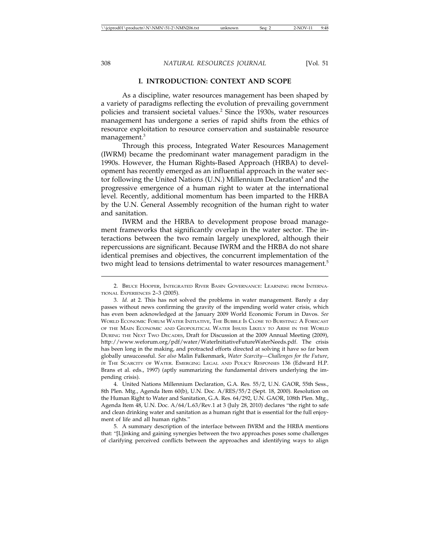## **I. INTRODUCTION: CONTEXT AND SCOPE**

As a discipline, water resources management has been shaped by a variety of paradigms reflecting the evolution of prevailing government policies and transient societal values.<sup>2</sup> Since the 1930s, water resources management has undergone a series of rapid shifts from the ethics of resource exploitation to resource conservation and sustainable resource management.<sup>3</sup>

Through this process, Integrated Water Resources Management (IWRM) became the predominant water management paradigm in the 1990s. However, the Human Rights-Based Approach (HRBA) to development has recently emerged as an influential approach in the water sector following the United Nations (U.N.) Millennium Declaration<sup>4</sup> and the progressive emergence of a human right to water at the international level. Recently, additional momentum has been imparted to the HRBA by the U.N. General Assembly recognition of the human right to water and sanitation.

IWRM and the HRBA to development propose broad management frameworks that significantly overlap in the water sector. The interactions between the two remain largely unexplored, although their repercussions are significant. Because IWRM and the HRBA do not share identical premises and objectives, the concurrent implementation of the two might lead to tensions detrimental to water resources management.<sup>5</sup>

<sup>2.</sup> BRUCE HOOPER, INTEGRATED RIVER BASIN GOVERNANCE: LEARNING FROM INTERNA-TIONAL EXPERIENCES 2–3 (2005).

<sup>3.</sup> *Id.* at 2. This has not solved the problems in water management. Barely a day passes without news confirming the gravity of the impending world water crisis, which has even been acknowledged at the January 2009 World Economic Forum in Davos. *See* WORLD ECONOMIC FORUM WATER INITIATIVE, THE BUBBLE IS CLOSE TO BURSTING: A FORECAST OF THE MAIN ECONOMIC AND GEOPOLITICAL WATER ISSUES LIKELY TO ARISE IN THE WORLD DURING THE NEXT TWO DECADES, Draft for Discussion at the 2009 Annual Meeting (2009), http://www.weforum.org/pdf/water/WaterInitiativeFutureWaterNeeds.pdf. The crisis has been long in the making, and protracted efforts directed at solving it have so far been globally unsuccessful. *See also* Malin Falkenmark, *Water Scarcity—Challenges for the Future*, *in* THE SCARCITY OF WATER. EMERGING LEGAL AND POLICY RESPONSES 136 (Edward H.P. Brans et al. eds., 1997) (aptly summarizing the fundamental drivers underlying the impending crisis).

<sup>4.</sup> United Nations Millennium Declaration, G.A. Res. 55/2, U.N. GAOR, 55th Sess., 8th Plen. Mtg., Agenda Item 60(b), U.N. Doc. A/RES/55/2 (Sept. 18, 2000). Resolution on the Human Right to Water and Sanitation, G.A. Res. 64/292, U.N. GAOR, 108th Plen. Mtg., Agenda Item 48, U.N. Doc. A/64/L.63/Rev.1 at 3 (July 28, 2010) declares "the right to safe and clean drinking water and sanitation as a human right that is essential for the full enjoyment of life and all human rights."

<sup>5.</sup> A summary description of the interface between IWRM and the HRBA mentions that: "[L]inking and gaining synergies between the two approaches poses some challenges of clarifying perceived conflicts between the approaches and identifying ways to align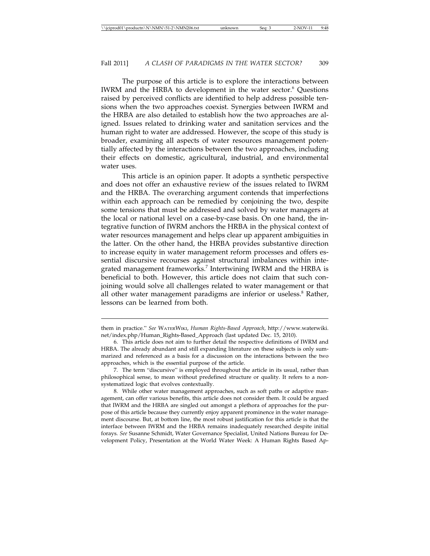The purpose of this article is to explore the interactions between IWRM and the HRBA to development in the water sector.<sup>6</sup> Questions raised by perceived conflicts are identified to help address possible tensions when the two approaches coexist. Synergies between IWRM and the HRBA are also detailed to establish how the two approaches are aligned. Issues related to drinking water and sanitation services and the human right to water are addressed. However, the scope of this study is broader, examining all aspects of water resources management potentially affected by the interactions between the two approaches, including their effects on domestic, agricultural, industrial, and environmental water uses.

This article is an opinion paper. It adopts a synthetic perspective and does not offer an exhaustive review of the issues related to IWRM and the HRBA. The overarching argument contends that imperfections within each approach can be remedied by conjoining the two, despite some tensions that must be addressed and solved by water managers at the local or national level on a case-by-case basis. On one hand, the integrative function of IWRM anchors the HRBA in the physical context of water resources management and helps clear up apparent ambiguities in the latter. On the other hand, the HRBA provides substantive direction to increase equity in water management reform processes and offers essential discursive recourses against structural imbalances within integrated management frameworks.<sup>7</sup> Intertwining IWRM and the HRBA is beneficial to both. However, this article does not claim that such conjoining would solve all challenges related to water management or that all other water management paradigms are inferior or useless.<sup>8</sup> Rather, lessons can be learned from both.

8. While other water management approaches, such as soft paths or adaptive management, can offer various benefits, this article does not consider them. It could be argued that IWRM and the HRBA are singled out amongst a plethora of approaches for the purpose of this article because they currently enjoy apparent prominence in the water management discourse. But, at bottom line, the most robust justification for this article is that the interface between IWRM and the HRBA remains inadequately researched despite initial forays. *See* Susanne Schmidt, Water Governance Specialist, United Nations Bureau for Development Policy, Presentation at the World Water Week: A Human Rights Based Ap-

them in practice." *See* WATERWIKI, *Human Rights-Based Approach*, http://www.waterwiki. net/index.php/Human\_Rights-Based\_Approach (last updated Dec. 15, 2010).

<sup>6.</sup> This article does not aim to further detail the respective definitions of IWRM and HRBA. The already abundant and still expanding literature on these subjects is only summarized and referenced as a basis for a discussion on the interactions between the two approaches, which is the essential purpose of the article.

<sup>7.</sup> The term "discursive" is employed throughout the article in its usual, rather than philosophical sense, to mean without predefined structure or quality. It refers to a nonsystematized logic that evolves contextually.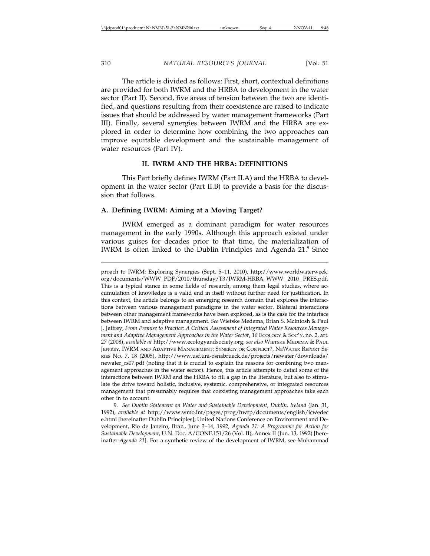The article is divided as follows: First, short, contextual definitions are provided for both IWRM and the HRBA to development in the water sector (Part II). Second, five areas of tension between the two are identified, and questions resulting from their coexistence are raised to indicate issues that should be addressed by water management frameworks (Part III). Finally, several synergies between IWRM and the HRBA are explored in order to determine how combining the two approaches can improve equitable development and the sustainable management of water resources (Part IV).

#### **II. IWRM AND THE HRBA: DEFINITIONS**

This Part briefly defines IWRM (Part II.A) and the HRBA to development in the water sector (Part II.B) to provide a basis for the discussion that follows.

#### **A. Defining IWRM: Aiming at a Moving Target?**

IWRM emerged as a dominant paradigm for water resources management in the early 1990s. Although this approach existed under various guises for decades prior to that time, the materialization of IWRM is often linked to the Dublin Principles and Agenda 21.<sup>9</sup> Since

9. *See Dublin Statement on Water and Sustainable Development, Dublin, Ireland* (Jan. 31, 1992), *available at* http://www.wmo.int/pages/prog/hwrp/documents/english/icwedec e.html [hereinafter Dublin Principles]; United Nations Conference on Environment and Development, Rio de Janeiro, Braz., June 3–14, 1992, *Agenda 21: A Programme for Action for Sustainable Development*, U.N. Doc. A/CONF.151/26 (Vol. II), Annex II (Jun. 13, 1992) [hereinafter *Agenda 21*]. For a synthetic review of the development of IWRM, see Muhammad

proach to IWRM: Exploring Synergies (Sept. 5–11, 2010), http://www.worldwaterweek. org/documents/WWW\_PDF/2010/thursday/T3/IWRM-HRBA\_WWW \_ 2010 \_ PRES.pdf. This is a typical stance in some fields of research, among them legal studies, where accumulation of knowledge is a valid end in itself without further need for justification. In this context, the article belongs to an emerging research domain that explores the interactions between various management paradigms in the water sector. Bilateral interactions between other management frameworks have been explored, as is the case for the interface between IWRM and adaptive management. *See* Wietske Medema, Brian S. McIntosh & Paul J. Jeffrey, *From Premise to Practice: A Critical Assessment of Integrated Water Resources Management and Adaptive Management Approaches in the Water Sector, 16 ECOLOGY & SOC'Y, no. 2, art.* 27 (2008), *available at* http://www.ecologyandsociety.org; *see also* WIETSKE MEDEMA & PAUL JEFFREY, IWRM AND ADAPTIVE MANAGEMENT: SYNERGY OR CONFLICT?, NEWATER REPORT SE-RIES NO. 7, 18 (2005), http://www.usf.uni-osnabrueck.de/projects/newater/downloads/ newater\_rs07.pdf (noting that it is crucial to explain the reasons for combining two management approaches in the water sector). Hence, this article attempts to detail some of the interactions between IWRM and the HRBA to fill a gap in the literature, but also to stimulate the drive toward holistic, inclusive, systemic, comprehensive, or integrated resources management that presumably requires that coexisting management approaches take each other in to account.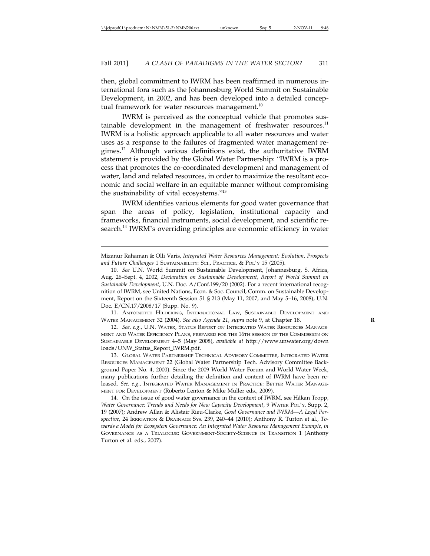then, global commitment to IWRM has been reaffirmed in numerous international fora such as the Johannesburg World Summit on Sustainable Development, in 2002, and has been developed into a detailed conceptual framework for water resources management. $10$ 

IWRM is perceived as the conceptual vehicle that promotes sustainable development in the management of freshwater resources. $11$ IWRM is a holistic approach applicable to all water resources and water uses as a response to the failures of fragmented water management regimes.12 Although various definitions exist, the authoritative IWRM statement is provided by the Global Water Partnership: "IWRM is a process that promotes the co-coordinated development and management of water, land and related resources, in order to maximize the resultant economic and social welfare in an equitable manner without compromising the sustainability of vital ecosystems."<sup>13</sup>

IWRM identifies various elements for good water governance that span the areas of policy, legislation, institutional capacity and frameworks, financial instruments, social development, and scientific research.<sup>14</sup> IWRM's overriding principles are economic efficiency in water

11. ANTOINETTE HILDERING, INTERNATIONAL LAW, SUSTAINABLE DEVELOPMENT AND WATER MANAGEMENT 32 (2004). *See also Agenda 21*, *supra* note 9, at Chapter 18. **R**

12. *See, e.g.*, U.N. WATER, STATUS REPORT ON INTEGRATED WATER RESOURCES MANAGE-MENT AND WATER EFFICIENCY PLANS, PREPARED FOR THE 16TH SESSION OF THE COMMISSION ON SUSTAINABLE DEVELOPMENT 4–5 (May 2008), *available at* http://www.unwater.org/down loads/UNW\_Status\_Report\_IWRM.pdf.

13. GLOBAL WATER PARTNERSHIP TECHNICAL ADVISORY COMMITTEE, INTEGRATED WATER RESOURCES MANAGEMENT 22 (Global Water Partnership Tech. Advisory Committee Background Paper No. 4, 2000). Since the 2009 World Water Forum and World Water Week, many publications further detailing the definition and content of IWRM have been released. *See, e.g.,* INTEGRATED WATER MANAGEMENT IN PRACTICE: BETTER WATER MANAGE-MENT FOR DEVELOPMENT (Roberto Lenton & Mike Muller eds., 2009).

14. On the issue of good water governance in the context of IWRM, see Håkan Tropp, *Water Governance: Trends and Needs for New Capacity Development*, 9 WATER POL'Y, Supp. 2, 19 (2007); Andrew Allan & Alistair Rieu-Clarke, *Good Governance and IWRM—A Legal Perspective*, 24 IRRIGATION & DRAINAGE SYS. 239, 240–44 (2010); Anthony R. Turton et al., *Towards a Model for Ecosystem Governance: An Integrated Water Resource Management Example*, *in* GOVERNANCE AS A TRIALOGUE: GOVERNMENT-SOCIETY-SCIENCE IN TRANSITION 1 (Anthony Turton et al. eds., 2007).

Mizanur Rahaman & Olli Varis, *Integrated Water Resources Management: Evolution, Prospects and Future Challenges* 1 SUSTAINABILITY: SCI., PRACTICE, & POL'Y 15 (2005).

<sup>10.</sup> *See* U.N. World Summit on Sustainable Development, Johannesburg, S. Africa, Aug. 26–Sept. 4, 2002, *Declaration on Sustainable Development, Report of World Summit on Sustainable Development*, U.N. Doc. A/Conf.199/20 (2002). For a recent international recognition of IWRM, see United Nations, Econ. & Soc. Council, Comm. on Sustainable Development, Report on the Sixteenth Session 51 § 213 (May 11, 2007, and May 5–16, 2008), U.N. Doc. E/CN.17/2008/17 (Supp. No. 9).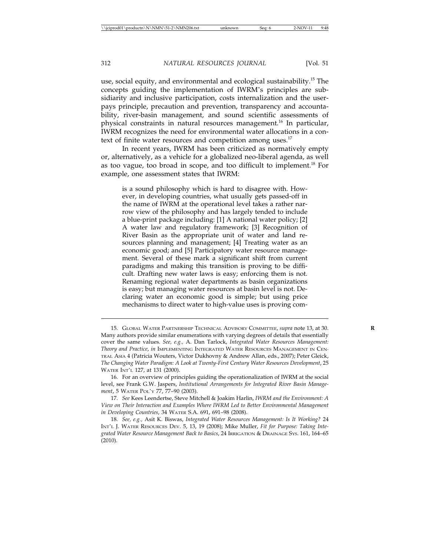use, social equity, and environmental and ecological sustainability.15 The concepts guiding the implementation of IWRM's principles are subsidiarity and inclusive participation, costs internalization and the userpays principle, precaution and prevention, transparency and accountability, river-basin management, and sound scientific assessments of physical constraints in natural resources management.<sup>16</sup> In particular, IWRM recognizes the need for environmental water allocations in a context of finite water resources and competition among uses.<sup>17</sup>

In recent years, IWRM has been criticized as normatively empty or, alternatively, as a vehicle for a globalized neo-liberal agenda, as well as too vague, too broad in scope, and too difficult to implement.18 For example, one assessment states that IWRM:

is a sound philosophy which is hard to disagree with. However, in developing countries, what usually gets passed-off in the name of IWRM at the operational level takes a rather narrow view of the philosophy and has largely tended to include a blue-print package including: [1] A national water policy; [2] A water law and regulatory framework; [3] Recognition of River Basin as the appropriate unit of water and land resources planning and management; [4] Treating water as an economic good; and [5] Participatory water resource management. Several of these mark a significant shift from current paradigms and making this transition is proving to be difficult. Drafting new water laws is easy; enforcing them is not. Renaming regional water departments as basin organizations is easy; but managing water resources at basin level is not. Declaring water an economic good is simple; but using price mechanisms to direct water to high-value uses is proving com-

<sup>15.</sup> GLOBAL WATER PARTNERSHIP TECHNICAL ADVISORY COMMITTEE, *supra* note 13, at 30. **R** Many authors provide similar enumerations with varying degrees of details that essentially cover the same values. *See, e.g.,* A. Dan Tarlock, *Integrated Water Resources Management: Theory and Practice*, *in* IMPLEMENTING INTEGRATED WATER RESOURCES MANAGEMENT IN CEN-TRAL ASIA 4 (Patricia Wouters, Victor Dukhovny & Andrew Allan, eds., 2007); Peter Gleick, *The Changing Water Paradigm: A Look at Twenty-First Century Water Resources Development*, 25 WATER INT'L 127, at 131 (2000).

<sup>16.</sup> For an overview of principles guiding the operationalization of IWRM at the social level, see Frank G.W. Jaspers, *Institutional Arrangements for Integrated River Basin Management*, 5 WATER POL'Y 77, 77–90 (2003).

<sup>17.</sup> *See* Kees Leendertse, Steve Mitchell & Joakim Harlin, *IWRM and the Environment: A View on Their Interaction and Examples Where IWRM Led to Better Environmental Management in Developing Countries*, 34 WATER S.A. 691, 691–98 (2008).

<sup>18.</sup> *See, e.g.,* Asit K. Biswas, *Integrated Water Resources Management: Is It Working?* 24 INT'L J. WATER RESOURCES DEV. 5, 13, 19 (2008); Mike Muller, *Fit for Purpose: Taking Integrated Water Resource Management Back to Basics*, 24 IRRIGATION & DRAINAGE SYS. 161, 164–65 (2010).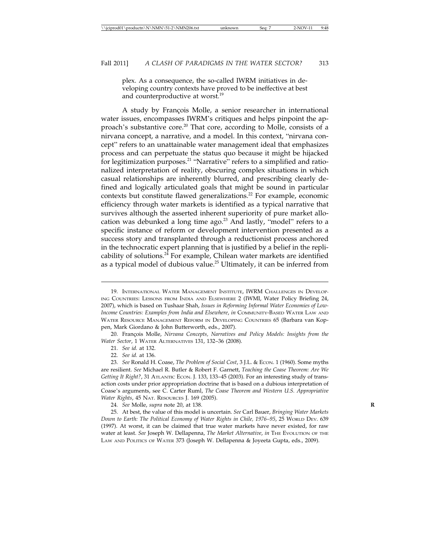plex. As a consequence, the so-called IWRM initiatives in developing country contexts have proved to be ineffective at best and counterproductive at worst.<sup>19</sup>

A study by François Molle, a senior researcher in international water issues, encompasses IWRM's critiques and helps pinpoint the approach's substantive core.<sup>20</sup> That core, according to Molle, consists of a nirvana concept, a narrative, and a model. In this context, "nirvana concept" refers to an unattainable water management ideal that emphasizes process and can perpetuate the status quo because it might be hijacked for legitimization purposes.<sup>21</sup> "Narrative" refers to a simplified and rationalized interpretation of reality, obscuring complex situations in which casual relationships are inherently blurred, and prescribing clearly defined and logically articulated goals that might be sound in particular contexts but constitute flawed generalizations.<sup>22</sup> For example, economic efficiency through water markets is identified as a typical narrative that survives although the asserted inherent superiority of pure market allocation was debunked a long time ago.<sup>23</sup> And lastly, "model" refers to a specific instance of reform or development intervention presented as a success story and transplanted through a reductionist process anchored in the technocratic expert planning that is justified by a belief in the replicability of solutions.<sup>24</sup> For example, Chilean water markets are identified as a typical model of dubious value.<sup>25</sup> Ultimately, it can be inferred from

20. François Molle, Nirvana Concepts, Narratives and Policy Models: Insights from the *Water Sector*, 1 WATER ALTERNATIVES 131, 132–36 (2008).

- 21. *See id.* at 132.
- 22. *See id.* at 136.

<sup>19.</sup> INTERNATIONAL WATER MANAGEMENT INSTITUTE, IWRM CHALLENGES IN DEVELOP-ING COUNTRIES: LESSONS FROM INDIA AND ELSEWHERE 2 (IWMI, Water Policy Briefing 24, 2007), which is based on Tushaar Shah, *Issues in Reforming Informal Water Economies of Low-Income Countries: Examples from India and Elsewhere*, *in* COMMUNITY-BASED WATER LAW AND WATER RESOURCE MANAGEMENT REFORM IN DEVELOPING COUNTRIES 65 (Barbara van Koppen, Mark Giordano & John Butterworth, eds., 2007).

<sup>23.</sup> *See* Ronald H. Coase, *The Problem of Social Cost*, 3 J.L. & ECON. 1 (1960). Some myths are resilient. *See* Michael R. Butler & Robert F. Garnett, *Teaching the Coase Theorem: Are We Getting It Right?*, 31 ATLANTIC ECON. J. 133, 133–45 (2003). For an interesting study of transaction costs under prior appropriation doctrine that is based on a dubious interpretation of Coase's arguments, see C. Carter Ruml, *The Coase Theorem and Western U.S. Appropriative Water Rights*, 45 NAT. RESOURCES J. 169 (2005).

<sup>24.</sup> *See* Molle, *supra* note 20, at 138. **R**

<sup>25.</sup> At best, the value of this model is uncertain. *See* Carl Bauer, *Bringing Water Markets Down to Earth: The Political Economy of Water Rights in Chile, 1976–95*, 25 WORLD DEV. 639 (1997). At worst, it can be claimed that true water markets have never existed, for raw water at least. *See* Joseph W. Dellapenna, *The Market Alternative*, *in* THE EVOLUTION OF THE LAW AND POLITICS OF WATER 373 (Joseph W. Dellapenna & Joyeeta Gupta, eds., 2009).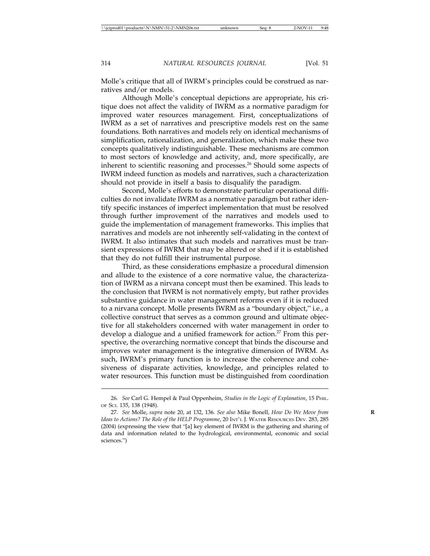Molle's critique that all of IWRM's principles could be construed as narratives and/or models.

Although Molle's conceptual depictions are appropriate, his critique does not affect the validity of IWRM as a normative paradigm for improved water resources management. First, conceptualizations of IWRM as a set of narratives and prescriptive models rest on the same foundations. Both narratives and models rely on identical mechanisms of simplification, rationalization, and generalization, which make these two concepts qualitatively indistinguishable. These mechanisms are common to most sectors of knowledge and activity, and, more specifically, are inherent to scientific reasoning and processes.<sup>26</sup> Should some aspects of IWRM indeed function as models and narratives, such a characterization should not provide in itself a basis to disqualify the paradigm.

Second, Molle's efforts to demonstrate particular operational difficulties do not invalidate IWRM as a normative paradigm but rather identify specific instances of imperfect implementation that must be resolved through further improvement of the narratives and models used to guide the implementation of management frameworks. This implies that narratives and models are not inherently self-validating in the context of IWRM. It also intimates that such models and narratives must be transient expressions of IWRM that may be altered or shed if it is established that they do not fulfill their instrumental purpose.

Third, as these considerations emphasize a procedural dimension and allude to the existence of a core normative value, the characterization of IWRM as a nirvana concept must then be examined. This leads to the conclusion that IWRM is not normatively empty, but rather provides substantive guidance in water management reforms even if it is reduced to a nirvana concept. Molle presents IWRM as a "boundary object," i.e., a collective construct that serves as a common ground and ultimate objective for all stakeholders concerned with water management in order to develop a dialogue and a unified framework for action.<sup>27</sup> From this perspective, the overarching normative concept that binds the discourse and improves water management is the integrative dimension of IWRM. As such, IWRM's primary function is to increase the coherence and cohesiveness of disparate activities, knowledge, and principles related to water resources. This function must be distinguished from coordination

<sup>26.</sup> *See* Carl G. Hempel & Paul Oppenheim, *Studies in the Logic of Explanation*, 15 PHIL. OF SCI. 135, 138 (1948).

<sup>27.</sup> *See* Molle, *supra* note 20, at 132, 136. *See also* Mike Bonell, *How Do We Move from* **R** *Ideas to Actions? The Role of the HELP Programme*, 20 INT'L J. WATER RESOURCES DEV. 283, 285 (2004) (expressing the view that "[a] key element of IWRM is the gathering and sharing of data and information related to the hydrological, environmental, economic and social sciences.")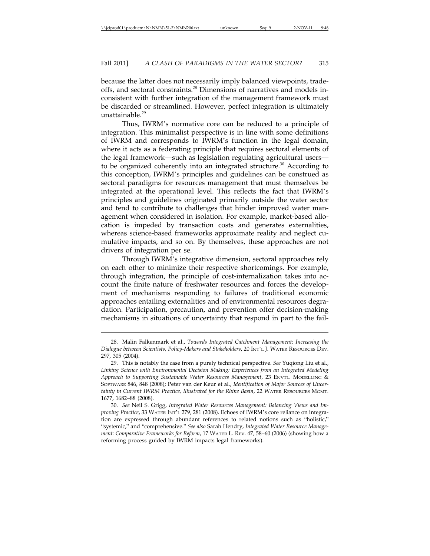because the latter does not necessarily imply balanced viewpoints, tradeoffs, and sectoral constraints.<sup>28</sup> Dimensions of narratives and models inconsistent with further integration of the management framework must be discarded or streamlined. However, perfect integration is ultimately unattainable.<sup>29</sup>

Thus, IWRM's normative core can be reduced to a principle of integration. This minimalist perspective is in line with some definitions of IWRM and corresponds to IWRM's function in the legal domain, where it acts as a federating principle that requires sectoral elements of the legal framework—such as legislation regulating agricultural users to be organized coherently into an integrated structure.<sup>30</sup> According to this conception, IWRM's principles and guidelines can be construed as sectoral paradigms for resources management that must themselves be integrated at the operational level. This reflects the fact that IWRM's principles and guidelines originated primarily outside the water sector and tend to contribute to challenges that hinder improved water management when considered in isolation. For example, market-based allocation is impeded by transaction costs and generates externalities, whereas science-based frameworks approximate reality and neglect cumulative impacts, and so on. By themselves, these approaches are not drivers of integration per se.

Through IWRM's integrative dimension, sectoral approaches rely on each other to minimize their respective shortcomings. For example, through integration, the principle of cost-internalization takes into account the finite nature of freshwater resources and forces the development of mechanisms responding to failures of traditional economic approaches entailing externalities and of environmental resources degradation. Participation, precaution, and prevention offer decision-making mechanisms in situations of uncertainty that respond in part to the fail-

<sup>28.</sup> Malin Falkenmark et al., *Towards Integrated Catchment Management: Increasing the Dialogue between Scientists, Policy-Makers and Stakeholders*, 20 INT'L J. WATER RESOURCES DEV. 297, 305 (2004).

<sup>29.</sup> This is notably the case from a purely technical perspective. *See* Yuqiong Liu et al., *Linking Science with Environmental Decision Making: Experiences from an Integrated Modeling Approach to Supporting Sustainable Water Resources Management,* 23 ENVTL. MODELLING & SOFTWARE 846, 848 (2008); Peter van der Keur et al., *Identification of Major Sources of Uncertainty in Current IWRM Practice, Illustrated for the Rhine Basin,* 22 WATER RESOURCES MGMT. 1677, 1682–88 (2008).

<sup>30.</sup> *See* Neil S. Grigg, *Integrated Water Resources Management: Balancing Views and Improving Practice*, 33 WATER INT'L 279, 281 (2008). Echoes of IWRM's core reliance on integration are expressed through abundant references to related notions such as "holistic," "systemic," and "comprehensive." *See also* Sarah Hendry, *Integrated Water Resource Management: Comparative Frameworks for Reform*, 17 WATER L. REV. 47, 58–60 (2006) (showing how a reforming process guided by IWRM impacts legal frameworks).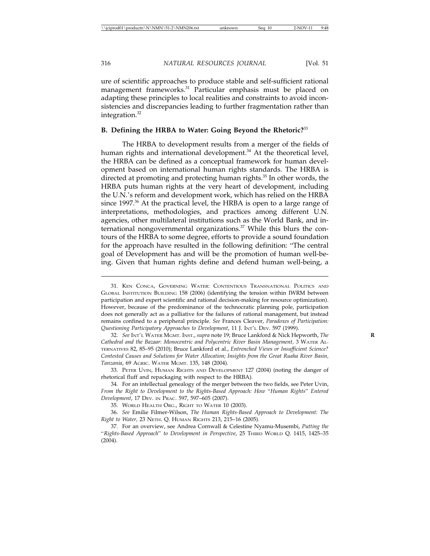ure of scientific approaches to produce stable and self-sufficient rational management frameworks.<sup>31</sup> Particular emphasis must be placed on adapting these principles to local realities and constraints to avoid inconsistencies and discrepancies leading to further fragmentation rather than integration.<sup>32</sup>

# **B. Defining the HRBA to Water: Going Beyond the Rhetoric?**<sup>33</sup>

The HRBA to development results from a merger of the fields of human rights and international development.<sup>34</sup> At the theoretical level, the HRBA can be defined as a conceptual framework for human development based on international human rights standards. The HRBA is directed at promoting and protecting human rights.<sup>35</sup> In other words, the HRBA puts human rights at the very heart of development, including the U.N.'s reform and development work, which has relied on the HRBA since 1997.<sup>36</sup> At the practical level, the HRBA is open to a large range of interpretations, methodologies, and practices among different U.N. agencies, other multilateral institutions such as the World Bank, and international nongovernmental organizations.<sup>37</sup> While this blurs the contours of the HRBA to some degree, efforts to provide a sound foundation for the approach have resulted in the following definition: "The central goal of Development has and will be the promotion of human well-being. Given that human rights define and defend human well-being, a

<sup>31.</sup> KEN CONCA, GOVERNING WATER: CONTENTIOUS TRANSNATIONAL POLITICS AND GLOBAL INSTITUTION BUILDING 158 (2006) (identifying the tension within IWRM between participation and expert scientific and rational decision-making for resource optimization). However, because of the predominance of the technocratic planning pole, participation does not generally act as a palliative for the failures of rational management, but instead remains confined to a peripheral principle. *See* Frances Cleaver, *Paradoxes of Participation: Questioning Participatory Approaches to Development*, 11 J. INT'L DEV. 597 (1999).

<sup>32.</sup> *See* INT'L WATER MGMT. INST., *supra* note 19; Bruce Lankford & Nick Hepworth, *The* **R** *Cathedral and the Bazaar: Monocentric and Polycentric River Basin Management,* 3 WATER AL-TERNATIVES 82, 85–95 (2010); Bruce Lankford et al., *Entrenched Views or Insufficient Science? Contested Causes and Solutions for Water Allocation; Insights from the Great Ruaha River Basin, Tanzania*, 69 AGRIC. WATER MGMT. 135, 148 (2004).

<sup>33.</sup> PETER UVIN, HUMAN RIGHTS AND DEVELOPMENT 127 (2004) (noting the danger of rhetorical fluff and repackaging with respect to the HRBA).

<sup>34.</sup> For an intellectual genealogy of the merger between the two fields, see Peter Uvin, *From the Right to Development to the Rights-Based Approach: How* "*Human Rights*" *Entered Development*, 17 DEV. IN PRAC. 597, 597–605 (2007).

<sup>35.</sup> WORLD HEALTH ORG., RIGHT TO WATER 10 (2003).

<sup>36.</sup> *See* Emilie Filmer-Wilson, *The Human Rights-Based Approach to Development: The Right to Water,* 23 NETH. Q. HUMAN RIGHTS 213, 215–16 (2005).

<sup>37.</sup> For an overview, see Andrea Cornwall & Celestine Nyamu-Musembi, *Putting the* "*Rights-Based Approach*" *to Development in Perspective*, 25 THIRD WORLD Q. 1415, 1425–35 (2004).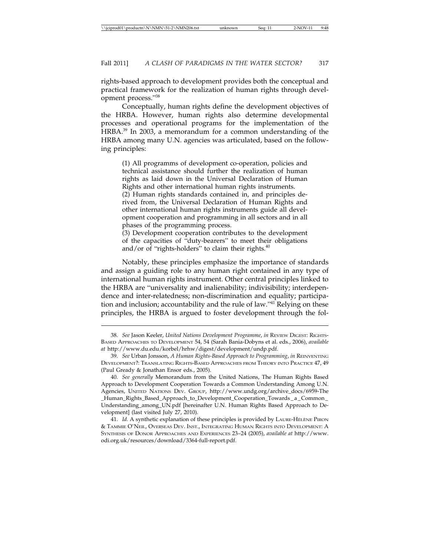rights-based approach to development provides both the conceptual and practical framework for the realization of human rights through development process."<sup>38</sup>

Conceptually, human rights define the development objectives of the HRBA. However, human rights also determine developmental processes and operational programs for the implementation of the HRBA.<sup>39</sup> In 2003, a memorandum for a common understanding of the HRBA among many U.N. agencies was articulated, based on the following principles:

(1) All programms of development co-operation, policies and technical assistance should further the realization of human rights as laid down in the Universal Declaration of Human Rights and other international human rights instruments.

(2) Human rights standards contained in, and principles derived from, the Universal Declaration of Human Rights and other international human rights instruments guide all development cooperation and programming in all sectors and in all phases of the programming process.

(3) Development cooperation contributes to the development of the capacities of "duty-bearers" to meet their obligations and/or of "rights-holders" to claim their rights.<sup>40</sup>

Notably, these principles emphasize the importance of standards and assign a guiding role to any human right contained in any type of international human rights instrument. Other central principles linked to the HRBA are "universality and inalienability; indivisibility; interdependence and inter-relatedness; non-discrimination and equality; participation and inclusion; accountability and the rule of law."<sup>41</sup> Relying on these principles, the HRBA is argued to foster development through the fol-

<sup>38.</sup> *See* Jason Keeler, *United Nations Development Programme*, *in* REVIEW DIGEST: RIGHTS-BASED APPROACHES TO DEVELOPMENT 54, 54 (Sarah Bania-Dobyns et al. eds., 2006), *available at* http://www.du.edu/korbel/hrhw/digest/development/undp.pdf.

<sup>39.</sup> *See* Urban Jonsson, *A Human Rights-Based Approach to Programming*, *in* REINVENTING DEVELOPMENT?: TRANSLATING RIGHTS-BASED APPROACHES FROM THEORY INTO PRACTICE 47, 49 (Paul Gready & Jonathan Ensor eds., 2005).

<sup>40.</sup> *See generally* Memorandum from the United Nations, The Human Rights Based Approach to Development Cooperation Towards a Common Understanding Among U.N. Agencies, UNITED NATIONS DEV. GROUP, http://www.undg.org/archive\_docs/6959-The \_Human\_Rights\_Based\_Approach\_to\_Development\_Cooperation\_Towards\_a\_Common \_ Understanding\_among\_UN.pdf [hereinafter U.N. Human Rights Based Approach to Development] (last visited July 27, 2010).

<sup>41.</sup> *Id.* A synthetic explanation of these principles is provided by LAURE-HÉLÈNE PIRON & TAMMIE O'NEIL, OVERSEAS DEV. INST., INTEGRATING HUMAN RIGHTS INTO DEVELOPMENT: A SYNTHESIS OF DONOR APPROACHES AND EXPERIENCES 23–24 (2005), *available at* http://www. odi.org.uk/resources/download/3364-full-report.pdf.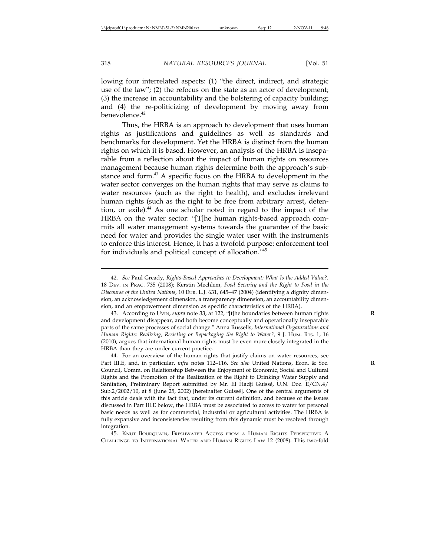lowing four interrelated aspects: (1) "the direct, indirect, and strategic use of the law"; (2) the refocus on the state as an actor of development; (3) the increase in accountability and the bolstering of capacity building; and (4) the re-politicizing of development by moving away from benevolence.<sup>42</sup>

Thus, the HRBA is an approach to development that uses human rights as justifications and guidelines as well as standards and benchmarks for development. Yet the HRBA is distinct from the human rights on which it is based. However, an analysis of the HRBA is inseparable from a reflection about the impact of human rights on resources management because human rights determine both the approach's substance and form.<sup>43</sup> A specific focus on the HRBA to development in the water sector converges on the human rights that may serve as claims to water resources (such as the right to health), and excludes irrelevant human rights (such as the right to be free from arbitrary arrest, detention, or exile).<sup>44</sup> As one scholar noted in regard to the impact of the HRBA on the water sector: "[T]he human rights-based approach commits all water management systems towards the guarantee of the basic need for water and provides the single water user with the instruments to enforce this interest. Hence, it has a twofold purpose: enforcement tool for individuals and political concept of allocation."<sup>45</sup>

<sup>42.</sup> *See* Paul Gready, *Rights-Based Approaches to Development: What Is the Added Value?,* 18 DEV. IN PRAC. 735 (2008); Kerstin Mechlem, *Food Security and the Right to Food in the Discourse of the United Nations,* 10 EUR. L.J. 631, 645–47 (2004) (identifying a dignity dimension, an acknowledgement dimension, a transparency dimension, an accountability dimension, and an empowerment dimension as specific characteristics of the HRBA).

<sup>43.</sup> According to UvIN, *supra* note 33, at 122, "[t]he boundaries between human rights and development disappear, and both become conceptually and operationally inseparable parts of the same processes of social change." Anna Russells, *International Organizations and Human Rights: Realizing, Resisting or Repackaging the Right to Water?,* 9 J. HUM. RTS. 1, 16 (2010), argues that international human rights must be even more closely integrated in the HRBA than they are under current practice.

<sup>44.</sup> For an overview of the human rights that justify claims on water resources, see Part III.E, and, in particular, *infra* notes 112-116. *See also* United Nations, Econ. & Soc. Council, Comm. on Relationship Between the Enjoyment of Economic, Social and Cultural Rights and the Promotion of the Realization of the Right to Drinking Water Supply and Sanitation, Preliminary Report submitted by Mr. El Hadji Guissé, U.N. Doc. E/CN.4/ Sub.2/2002/10, at 8 (June 25, 2002) [hereinafter Guissé]. One of the central arguments of this article deals with the fact that, under its current definition, and because of the issues discussed in Part III.E below, the HRBA must be associated to access to water for personal basic needs as well as for commercial, industrial or agricultural activities. The HRBA is fully expansive and inconsistencies resulting from this dynamic must be resolved through integration.

<sup>45.</sup> KNUT BOURQUAIN, FRESHWATER ACCESS FROM A HUMAN RIGHTS PERSPECTIVE: A CHALLENGE TO INTERNATIONAL WATER AND HUMAN RIGHTS LAW 12 (2008). This two-fold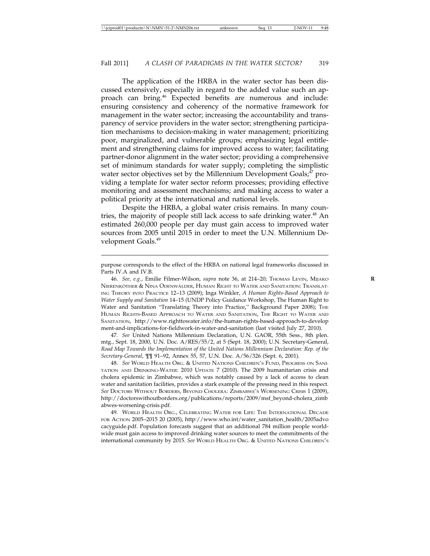The application of the HRBA in the water sector has been discussed extensively, especially in regard to the added value such an approach can bring.46 Expected benefits are numerous and include: ensuring consistency and coherency of the normative framework for management in the water sector; increasing the accountability and transparency of service providers in the water sector; strengthening participation mechanisms to decision-making in water management; prioritizing poor, marginalized, and vulnerable groups; emphasizing legal entitlement and strengthening claims for improved access to water; facilitating partner-donor alignment in the water sector; providing a comprehensive set of minimum standards for water supply; completing the simplistic water sector objectives set by the Millennium Development Goals; $^{47}$  providing a template for water sector reform processes; providing effective monitoring and assessment mechanisms; and making access to water a political priority at the international and national levels.

Despite the HRBA, a global water crisis remains. In many countries, the majority of people still lack access to safe drinking water.<sup>48</sup> An estimated 260,000 people per day must gain access to improved water sources from 2005 until 2015 in order to meet the U.N. Millennium Development Goals.<sup>49</sup>

47. *See* United Nations Millennium Declaration, U.N. GAOR, 55th Sess., 8th plen. mtg., Sept. 18, 2000, U.N. Doc. A/RES/55/2, at 5 (Sept. 18, 2000); U.N. Secretary-General, *Road Map Towards the Implementation of the United Nations Millennium Declaration: Rep. of the Secretary-General*, ¶¶ 91–92, Annex 55, 57, U.N. Doc. A/56/326 (Sept. 6, 2001).

48. *See* WORLD HEALTH ORG. & UNITED NATIONS CHILDREN'S FUND, PROGRESS ON SANI-TATION AND DRINKING-WATER: 2010 UPDATE 7 (2010). The 2009 humanitarian crisis and cholera epidemic in Zimbabwe, which was notably caused by a lack of access to clean water and sanitation facilities, provides a stark example of the pressing need in this respect. *See* DOCTORS WITHOUT BORDERS, BEYOND CHOLERA: ZIMBABWE'S WORSENING CRISIS 1 (2009), http://doctorswithoutborders.org/publications/reports/2009/msf\_beyond-cholera\_zimb abwes-worsening-crisis.pdf.

49. WORLD HEALTH ORG., CELEBRATING WATER FOR LIFE: THE INTERNATIONAL DECADE FOR ACTION 2005–2015 20 (2005), http://www.who.int/water\_sanitation\_health/2005advo cacyguide.pdf. Population forecasts suggest that an additional 784 million people worldwide must gain access to improved drinking water sources to meet the commitments of the international community by 2015. *See* WORLD HEALTH ORG. & UNITED NATIONS CHILDREN'S

purpose corresponds to the effect of the HRBA on national legal frameworks discussed in Parts IV.A and IV.B.

<sup>46.</sup> See, e.g., Emilie Filmer-Wilson, *supra* note 36, at 214-20; Тномаs LEVIN, МIJAKO NIERENKÖTHER & NINA ODENWÄLDER, HUMAN RIGHT TO WATER AND SANITATION: TRANSLAT-ING THEORY INTO PRACTICE 12–13 (2009); Inga Winkler, *A Human Rights-Based Approach to Water Supply and Sanitation* 14–15 (UNDP Policy Guidance Workshop, The Human Right to Water and Sanitation "Translating Theory into Practice," Background Paper 2008); THE HUMAN RIGHTS-BASED APPROACH TO WATER AND SANITATION, THE RIGHT TO WATER AND SANITATION, http://www.righttowater.info/the-human-rights-based-approach-to-develop ment-and-implications-for-fieldwork-in-water-and-sanitation (last visited July 27, 2010).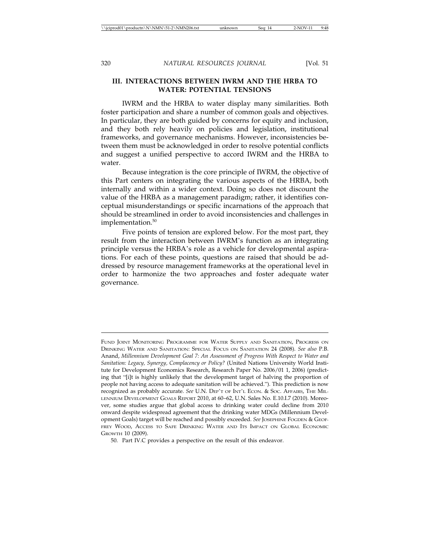#### **III. INTERACTIONS BETWEEN IWRM AND THE HRBA TO WATER: POTENTIAL TENSIONS**

IWRM and the HRBA to water display many similarities. Both foster participation and share a number of common goals and objectives. In particular, they are both guided by concerns for equity and inclusion, and they both rely heavily on policies and legislation, institutional frameworks, and governance mechanisms. However, inconsistencies between them must be acknowledged in order to resolve potential conflicts and suggest a unified perspective to accord IWRM and the HRBA to water.

Because integration is the core principle of IWRM, the objective of this Part centers on integrating the various aspects of the HRBA, both internally and within a wider context. Doing so does not discount the value of the HRBA as a management paradigm; rather, it identifies conceptual misunderstandings or specific incarnations of the approach that should be streamlined in order to avoid inconsistencies and challenges in implementation.<sup>50</sup>

Five points of tension are explored below. For the most part, they result from the interaction between IWRM's function as an integrating principle versus the HRBA's role as a vehicle for developmental aspirations. For each of these points, questions are raised that should be addressed by resource management frameworks at the operational level in order to harmonize the two approaches and foster adequate water governance.

50. Part IV.C provides a perspective on the result of this endeavor.

FUND JOINT MONITORING PROGRAMME FOR WATER SUPPLY AND SANITATION, PROGRESS ON DRINKING WATER AND SANITATION: SPECIAL FOCUS ON SANITATION 24 (2008). *See also* P.B. Anand, *Millennium Development Goal 7: An Assessment of Progress With Respect to Water and Sanitation: Legacy, Synergy, Complacency or Policy?* (United Nations University World Institute for Development Economics Research, Research Paper No. 2006/01 1, 2006) (predicting that "[i]t is highly unlikely that the development target of halving the proportion of people not having access to adequate sanitation will be achieved."). This prediction is now recognized as probably accurate. *See* U.N. DEP'T OF INT'L ECON. & SOC. AFFAIRS, THE MIL-LENNIUM DEVELOPMENT GOALS REPORT 2010, at 60–62, U.N. Sales No. E.10.I.7 (2010). Moreover, some studies argue that global access to drinking water could decline from 2010 onward despite widespread agreement that the drinking water MDGs (Millennium Development Goals) target will be reached and possibly exceeded. See JOSEPHINE FOGDEN & GEOF-FREY WOOD, ACCESS TO SAFE DRINKING WATER AND ITS IMPACT ON GLOBAL ECONOMIC GROWTH 10 (2009).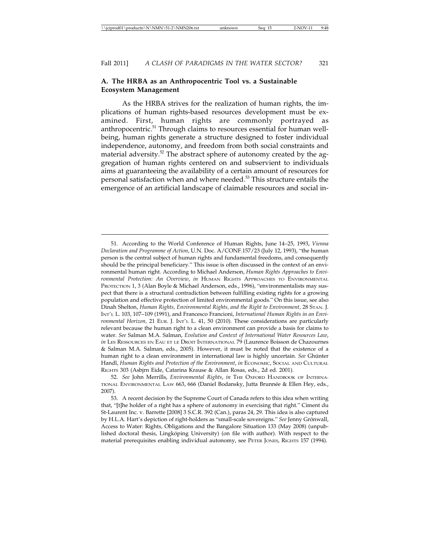#### **A. The HRBA as an Anthropocentric Tool vs. a Sustainable Ecosystem Management**

As the HRBA strives for the realization of human rights, the implications of human rights-based resources development must be examined. First, human rights are commonly portrayed as anthropocentric.<sup>51</sup> Through claims to resources essential for human wellbeing, human rights generate a structure designed to foster individual independence, autonomy, and freedom from both social constraints and material adversity. $52$  The abstract sphere of autonomy created by the aggregation of human rights centered on and subservient to individuals aims at guaranteeing the availability of a certain amount of resources for personal satisfaction when and where needed.53 This structure entails the emergence of an artificial landscape of claimable resources and social in-

<sup>51.</sup> According to the World Conference of Human Rights, June 14–25, 1993, *Vienna Declaration and Programme of Action*, U.N. Doc. A/CONF.157/23 (July 12, 1993), "the human person is the central subject of human rights and fundamental freedoms, and consequently should be the principal beneficiary." This issue is often discussed in the context of an environmental human right. According to Michael Anderson, *Human Rights Approaches to Environmental Protection: An Overview*, *in* HUMAN RIGHTS APPROACHES TO ENVIRONMENTAL PROTECTION 1, 3 (Alan Boyle & Michael Anderson, eds., 1996), "environmentalists may suspect that there is a structural contradiction between fulfilling existing rights for a growing population and effective protection of limited environmental goods." On this issue, see also Dinah Shelton, *Human Rights, Environmental Rights, and the Right to Environment*, 28 STAN. J. INT'L L. 103, 107–109 (1991), and Francesco Francioni, *International Human Rights in an Environmental Horizon,* 21 EUR. J. INT'L L. 41, 50 (2010). These considerations are particularly relevant because the human right to a clean environment can provide a basis for claims to water. *See* Salman M.A. Salman, *Evolution and Context of International Water Resources Law*, *in* LES RESSOURCES EN EAU ET LE DROIT INTERNATIONAL 79 (Laurence Boisson de Chazournes & Salman M.A. Salman, eds., 2005). However, it must be noted that the existence of a human right to a clean environment in international law is highly uncertain. See Ghünter Handl, *Human Rights and Protection of the Environment*, *in* ECONOMIC, SOCIAL AND CULTURAL RIGHTS 303 (Asbjrn Eide, Catarina Krause & Allan Rosas, eds., 2d ed. 2001).

<sup>52.</sup> *See* John Merrills, *Environmental Rights*, *in* THE OXFORD HANDBOOK OF INTERNA-TIONAL ENVIRONMENTAL LAW 663, 666 (Daniel Bodansky, Jutta Brunn´ee & Ellen Hey, eds., 2007).

<sup>53.</sup> A recent decision by the Supreme Court of Canada refers to this idea when writing that, "[t]he holder of a right has a sphere of autonomy in exercising that right." Ciment du St-Laurent Inc. v. Barrette [2008] 3 S.C.R. 392 (Can.), paras 24, 29. This idea is also captured by H.L.A. Hart's depiction of right-holders as "small-scale sovereigns." See Jenny Grönwall, Access to Water: Rights, Obligations and the Bangalore Situation 133 (May 2008) (unpublished doctoral thesis, Lingköping University) (on file with author). With respect to the material prerequisites enabling individual autonomy, see PETER JONES, RIGHTS 157 (1994).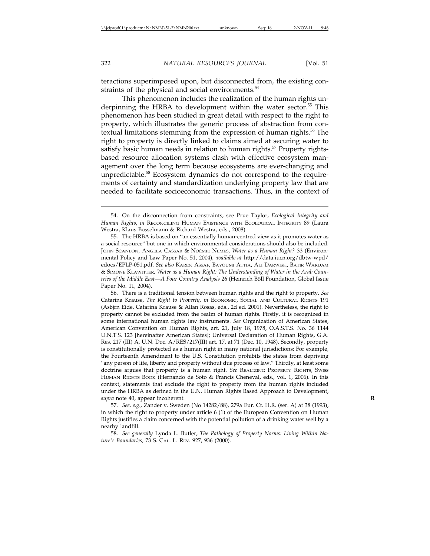teractions superimposed upon, but disconnected from, the existing constraints of the physical and social environments.<sup>54</sup>

This phenomenon includes the realization of the human rights underpinning the HRBA to development within the water sector.<sup>55</sup> This phenomenon has been studied in great detail with respect to the right to property, which illustrates the generic process of abstraction from contextual limitations stemming from the expression of human rights.<sup>56</sup> The right to property is directly linked to claims aimed at securing water to satisfy basic human needs in relation to human rights.<sup>57</sup> Property rightsbased resource allocation systems clash with effective ecosystem management over the long term because ecosystems are ever-changing and unpredictable.<sup>58</sup> Ecosystem dynamics do not correspond to the requirements of certainty and standardization underlying property law that are needed to facilitate socioeconomic transactions. Thus, in the context of

56. There is a traditional tension between human rights and the right to property. *See* Catarina Krause, *The Right to Property, in* ECONOMIC, SOCIAL AND CULTURAL RIGHTS 191 (Asbjrn Eide, Catarina Krause & Allan Rosas, eds., 2d ed. 2001). Nevertheless, the right to property cannot be excluded from the realm of human rights. Firstly, it is recognized in some international human rights law instruments. *See* Organization of American States, American Convention on Human Rights, art. 21, July 18, 1978, O.A.S.T.S. No. 36 1144 U.N.T.S. 123 [hereinafter American States]; Universal Declaration of Human Rights, G.A. Res. 217 (III) A, U.N. Doc. A/RES/217(III) art. 17, at 71 (Dec. 10, 1948). Secondly, property is constitutionally protected as a human right in many national jurisdictions: For example, the Fourteenth Amendment to the U.S. Constitution prohibits the states from depriving "any person of life, liberty and property without due process of law." Thirdly, at least some doctrine argues that property is a human right. *See* REALIZING PROPERTY RIGHTS, SWISS HUMAN RIGHTS BOOK (Hernando de Soto & Francis Cheneval, eds., vol. 1, 2006). In this context, statements that exclude the right to property from the human rights included under the HRBA as defined in the U.N. Human Rights Based Approach to Development, *supra* note 40, appear incoherent. **R**

57. *See, e.g.,* Zander v. Sweden (No 14282/88), 279a Eur. Ct. H.R. (ser. A) at 38 (1993), in which the right to property under article 6 (1) of the European Convention on Human Rights justifies a claim concerned with the potential pollution of a drinking water well by a nearby landfill.

58. *See generally* Lynda L. Butler, *The Pathology of Property Norms: Living Within Nature*'*s Boundaries,* 73 S. CAL. L. REV. 927, 936 (2000).

<sup>54.</sup> On the disconnection from constraints, see Prue Taylor, *Ecological Integrity and Human Rights*, *in* RECONCILING HUMAN EXISTENCE WITH ECOLOGICAL INTEGRITY 89 (Laura Westra, Klaus Bosselmann & Richard Westra, eds., 2008).

<sup>55.</sup> The HRBA is based on "an essentially human-centred view as it promotes water as a social resource" but one in which environmental considerations should also be included. JOHN SCANLON, ANGELA CASSAR & NOÉMIE NEMES, Water as a Human Right? 33 (Environmental Policy and Law Paper No. 51, 2004), *available at* http://data.iucn.org/dbtw-wpd/ edocs/EPLP-051.pdf. *See also* KAREN ASSAF, BAYOUMI ATTIA, ALI DARWISH, BATIR WARDAM & SIMONE KLAWITTER, *Water as a Human Right: The Understanding of Water in the Arab Countries of the Middle East-A Four Country Analysis* 26 (Heinrich Böll Foundation, Global Issue Paper No. 11, 2004).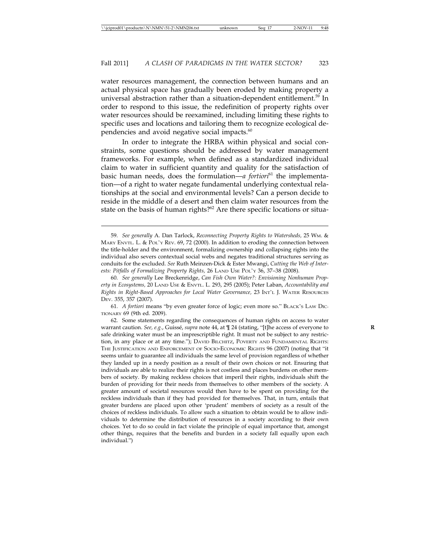water resources management, the connection between humans and an actual physical space has gradually been eroded by making property a universal abstraction rather than a situation-dependent entitlement.<sup>59</sup> In order to respond to this issue, the redefinition of property rights over water resources should be reexamined, including limiting these rights to specific uses and locations and tailoring them to recognize ecological dependencies and avoid negative social impacts.<sup>60</sup>

In order to integrate the HRBA within physical and social constraints, some questions should be addressed by water management frameworks. For example, when defined as a standardized individual claim to water in sufficient quantity and quality for the satisfaction of basic human needs, does the formulation—*a* fortiori<sup>61</sup> the implementation—of a right to water negate fundamental underlying contextual relationships at the social and environmental levels? Can a person decide to reside in the middle of a desert and then claim water resources from the state on the basis of human rights?<sup>62</sup> Are there specific locations or situa-

60. *See generally* Lee Breckenridge, *Can Fish Own Water?: Envisioning Nonhuman Property in Ecosystems,* 20 LAND USE & ENVTL. L. 293, 295 (2005); Peter Laban, *Accountability and Rights in Right-Based Approaches for Local Water Governance,* 23 INT'L J. WATER RESOURCES DEV. 355, 357 (2007).

61. *A fortiori* means "by even greater force of logic; even more so." BLACK'S LAW DIC-TIONARY 69 (9th ed. 2009).

62. Some statements regarding the consequences of human rights on access to water warrant caution. *See, e.g.*, Guissé, *supra* note 44, at  $\P$  24 (stating, "[t]he access of everyone to safe drinking water must be an imprescriptible right. It must not be subject to any restriction, in any place or at any time."); DAVID BILCHITZ, POVERTY AND FUNDAMENTAL RIGHTS: THE JUSTIFICATION AND ENFORCEMENT OF SOCIO-ECONOMIC RIGHTS 96 (2007) (noting that "it seems unfair to guarantee all individuals the same level of provision regardless of whether they landed up in a needy position as a result of their own choices or not. Ensuring that individuals are able to realize their rights is not costless and places burdens on other members of society. By making reckless choices that imperil their rights, individuals shift the burden of providing for their needs from themselves to other members of the society. A greater amount of societal resources would then have to be spent on providing for the reckless individuals than if they had provided for themselves. That, in turn, entails that greater burdens are placed upon other 'prudent' members of society as a result of the choices of reckless individuals. To allow such a situation to obtain would be to allow individuals to determine the distribution of resources in a society according to their own choices. Yet to do so could in fact violate the principle of equal importance that, amongst other things, requires that the benefits and burden in a society fall equally upon each individual.")

<sup>59.</sup> *See generally* A. Dan Tarlock, *Reconnecting Property Rights to Watersheds,* 25 WM. & MARY ENVTL. L. & POL'Y REV. 69, 72 (2000). In addition to eroding the connection between the title-holder and the environment, formalizing ownership and collapsing rights into the individual also severs contextual social webs and negates traditional structures serving as conduits for the excluded. *See* Ruth Meinzen-Dick & Ester Mwangi, *Cutting the Web of Interests: Pitfalls of Formalizing Property Rights,* 26 LAND USE POL'Y 36, 37–38 (2008).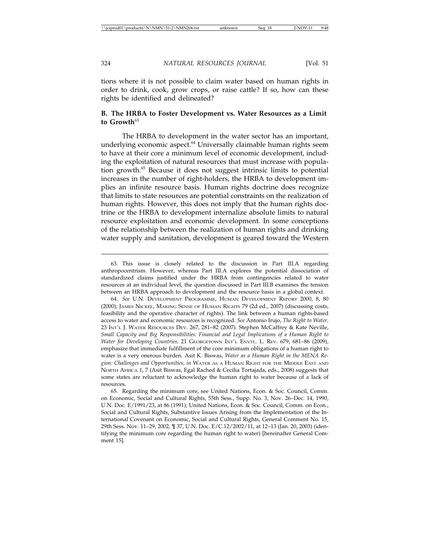tions where it is not possible to claim water based on human rights in order to drink, cook, grow crops, or raise cattle? If so, how can these rights be identified and delineated?

#### **B. The HRBA to Foster Development vs. Water Resources as a Limit** to Growth<sup>63</sup>

The HRBA to development in the water sector has an important, underlying economic aspect.<sup>64</sup> Universally claimable human rights seem to have at their core a minimum level of economic development, including the exploitation of natural resources that must increase with population growth.65 Because it does not suggest intrinsic limits to potential increases in the number of right-holders, the HRBA to development implies an infinite resource basis. Human rights doctrine does recognize that limits to state resources are potential constraints on the realization of human rights. However, this does not imply that the human rights doctrine or the HRBA to development internalize absolute limits to natural resource exploitation and economic development. In some conceptions of the relationship between the realization of human rights and drinking water supply and sanitation, development is geared toward the Western

<sup>63.</sup> This issue is closely related to the discussion in Part III.A regarding anthropocentrism. However, whereas Part III.A explores the potential dissociation of standardized claims justified under the HRBA from contingencies related to water resources at an individual level, the question discussed in Part III.B examines the tension between an HRBA approach to development and the resource basis in a global context.

<sup>64.</sup> *See* U.N. DEVELOPMENT PROGRAMME, HUMAN DEVELOPMENT REPORT 2000, 8, 80 (2000); JAMES NICKEL, MAKING SENSE OF HUMAN RIGHTS 79 (2d ed., 2007) (discussing costs, feasibility and the operative character of rights). The link between a human rights-based access to water and economic resources is recognized. *See* Antonio Irujo, *The Right to Water,* 23 INT'L J. WATER RESOURCES DEV. 267, 281–82 (2007). Stephen McCaffrey & Kate Neville, *Small Capacity and Big Responsibilities: Financial and Legal Implications of a Human Right to Water for Developing Countries,* 21 GEORGETOWN INT'L ENVTL. L. REV. 679, 681–86 (2009), emphasize that immediate fulfillment of the core minimum obligations of a human right to water is a very onerous burden. Asit K. Biswas, *Water as a Human Right in the MENA Region: Challenges and Opportunities*, *in* WATER AS A HUMAN RIGHT FOR THE MIDDLE EAST AND NORTH AFRICA 1, 7 (Asit Biswas, Egal Rached & Cecilia Tortajada, eds., 2008) suggests that some states are reluctant to acknowledge the human right to water because of a lack of resources.

<sup>65.</sup> Regarding the minimum core, see United Nations, Econ. & Soc. Council, Comm. on Economic, Social and Cultural Rights, 55th Sess., Supp. No. 3, Nov. 26–Dec. 14, 1990, U.N. Doc. E/1991/23, at 86 (1991); United Nations, Econ. & Soc. Council, Comm. on Econ., Social and Cultural Rights, Substantive Issues Arising from the Implementation of the International Covenant on Economic, Social and Cultural Rights, General Comment No. 15, 29th Sess. Nov. 11–29, 2002, ¶ 37, U.N. Doc. E/C.12/2002/11, at 12–13 (Jan. 20, 2003) (identifying the minimum core regarding the human right to water) [hereinafter General Comment 15].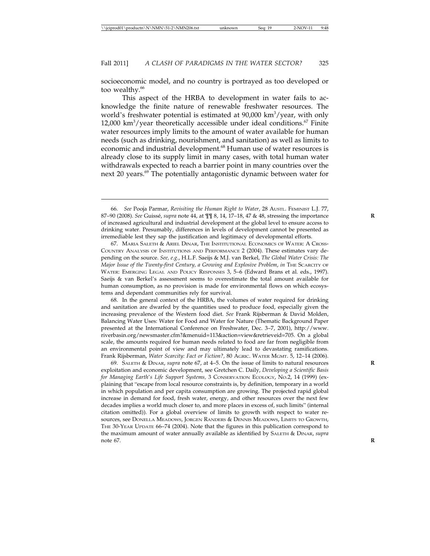socioeconomic model, and no country is portrayed as too developed or too wealthy.<sup>66</sup>

This aspect of the HRBA to development in water fails to acknowledge the finite nature of renewable freshwater resources. The world's freshwater potential is estimated at 90,000 km<sup>3</sup>/year, with only  $12,000 \text{ km}^3/\text{year}$  theoretically accessible under ideal conditions. $^{67}$  Finite water resources imply limits to the amount of water available for human needs (such as drinking, nourishment, and sanitation) as well as limits to economic and industrial development.<sup>68</sup> Human use of water resources is already close to its supply limit in many cases, with total human water withdrawals expected to reach a barrier point in many countries over the next 20 years.<sup>69</sup> The potentially antagonistic dynamic between water for

68. In the general context of the HRBA, the volumes of water required for drinking and sanitation are dwarfed by the quantities used to produce food, especially given the increasing prevalence of the Western food diet. *See* Frank Rijsberman & David Molden, Balancing Water Uses: Water for Food and Water for Nature (Thematic Background Paper presented at the International Conference on Freshwater, Dec. 3–7, 2001), http://www. riverbasin.org/newsmaster.cfm?&menuid=113&action=view&retrieveid=705. On a global scale, the amounts required for human needs related to food are far from negligible from an environmental point of view and may ultimately lead to devastating ramifications. Frank Rijsberman, *Water Scarcity: Fact or Fiction?,* 80 AGRIC. WATER MGMT. 5, 12–14 (2006).

69. SALETH & DINAR, *supra* note 67, at 4–5. On the issue of limits to natural resources **R** exploitation and economic development, see Gretchen C. Daily, *Developing a Scientific Basis for Managing Earth*'*s Life Support Systems,* 3 CONSERVATION ECOLOGY, NO.2, 14 (1999) (explaining that "escape from local resource constraints is, by definition, temporary in a world in which population and per capita consumption are growing. The projected rapid global increase in demand for food, fresh water, energy, and other resources over the next few decades implies a world much closer to, and more places in excess of, such limits" (internal citation omitted)). For a global overview of limits to growth with respect to water resources, see DONELLA MEADOWS, JORGEN RANDERS & DENNIS MEADOWS, LIMITS TO GROWTH, THE 30-YEAR UPDATE 66–74 (2004). Note that the figures in this publication correspond to the maximum amount of water annually available as identified by SALETH & DINAR, *supra* note 67.

<sup>66.</sup> *See* Pooja Parmar, *Revisiting the Human Right to Water,* 28 AUSTL. FEMINIST L.J. 77, 87-90 (2008). *See* Guissé, *supra* note 44, at  $\P$  $\P$  8, 14, 17-18, 47 & 48, stressing the importance of increased agricultural and industrial development at the global level to ensure access to drinking water. Presumably, differences in levels of development cannot be presented as irremediable lest they sap the justification and legitimacy of developmental efforts.

<sup>67.</sup> MARIA SALETH & ARIEL DINAR, THE INSTITUTIONAL ECONOMICS OF WATER: A CROSS-COUNTRY ANALYSIS OF INSTITUTIONS AND PERFORMANCE 2 (2004). These estimates vary depending on the source. *See, e.g.*, H.L.F. Saeijs & M.J. van Berkel, *The Global Water Crisis: The Major Issue of the Twenty-first Century, a Growing and Explosive Problem*, *in* THE SCARCITY OF WATER: EMERGING LEGAL AND POLICY RESPONSES 3, 5–6 (Edward Brans et al. eds., 1997). Saeijs & van Berkel's assessment seems to overestimate the total amount available for human consumption, as no provision is made for environmental flows on which ecosystems and dependant communities rely for survival.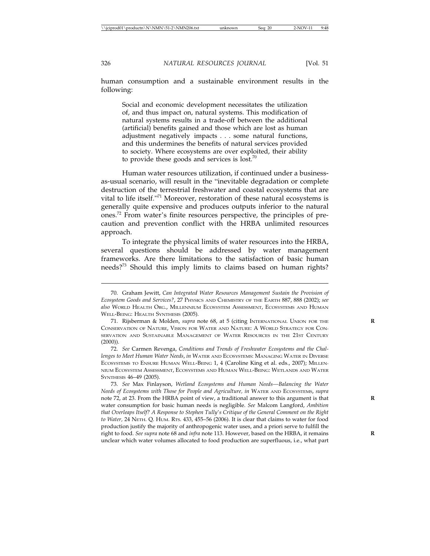human consumption and a sustainable environment results in the following:

Social and economic development necessitates the utilization of, and thus impact on, natural systems. This modification of natural systems results in a trade-off between the additional (artificial) benefits gained and those which are lost as human adjustment negatively impacts... some natural functions, and this undermines the benefits of natural services provided to society. Where ecosystems are over exploited, their ability to provide these goods and services is lost.<sup>70</sup>

Human water resources utilization, if continued under a businessas-usual scenario, will result in the "inevitable degradation or complete destruction of the terrestrial freshwater and coastal ecosystems that are vital to life itself."71 Moreover, restoration of these natural ecosystems is generally quite expensive and produces outputs inferior to the natural ones.72 From water's finite resources perspective, the principles of precaution and prevention conflict with the HRBA unlimited resources approach.

To integrate the physical limits of water resources into the HRBA, several questions should be addressed by water management frameworks. Are there limitations to the satisfaction of basic human needs?73 Should this imply limits to claims based on human rights?

<sup>70.</sup> Graham Jewitt, *Can Integrated Water Resources Management Sustain the Provision of Ecosystem Goods and Services?*, 27 PHYSICS AND CHEMISTRY OF THE EARTH 887, 888 (2002); *see also* WORLD HEALTH ORG., MILLENNIUM ECOSYSTEM ASSESSMENT, ECOSYSTEMS AND HUMAN WELL-BEING: HEALTH SYNTHESIS (2005).

<sup>71.</sup> Rijsberman & Molden, *supra* note 68, at 5 (citing INTERNATIONAL UNION FOR THE **R** CONSERVATION OF NATURE, VISION FOR WATER AND NATURE: A WORLD STRATEGY FOR CON-SERVATION AND SUSTAINABLE MANAGEMENT OF WATER RESOURCES IN THE 21ST CENTURY (2000)).

<sup>72.</sup> *See* Carmen Revenga, *Conditions and Trends of Freshwater Ecosystems and the Challenges to Meet Human Water Needs*, *in* WATER AND ECOSYSTEMS: MANAGING WATER IN DIVERSE ECOSYSTEMS TO ENSURE HUMAN WELL-BEING 1, 4 (Caroline King et al. eds., 2007); MILLEN-NIUM ECOSYSTEM ASSESSMENT, ECOSYSTEMS AND HUMAN WELL-BEING: WETLANDS AND WATER SYNTHESIS 46–49 (2005).

<sup>73.</sup> *See* Max Finlayson, *Wetland Ecosystems and Human Needs—Balancing the Water Needs of Ecosystems with Those for People and Agriculture, in* WATER AND ECOSYSTEMS, *supra* note 72, at 23. From the HRBA point of view, a traditional answer to this argument is that **R** water consumption for basic human needs is negligible. *See* Malcom Langford, *Ambition that Overleaps Itself? A Response to Stephen Tully*'*s Critique of the General Comment on the Right to Water,* 24 NETH. Q. HUM. RTS. 433, 455–56 (2006). It is clear that claims to water for food production justify the majority of anthropogenic water uses, and a priori serve to fulfill the right to food. *See supra* note 68 and *infra* note 113. However, based on the HRBA, it remains **R** unclear which water volumes allocated to food production are superfluous, i.e., what part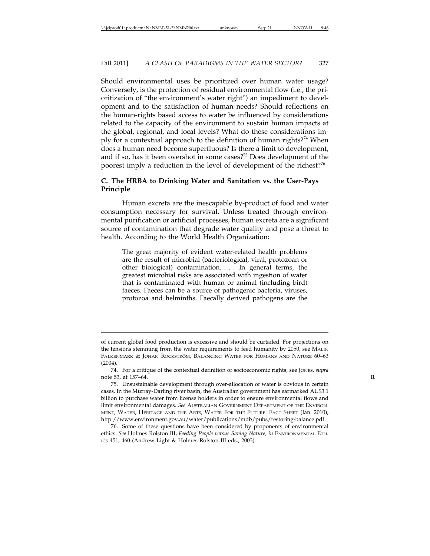Should environmental uses be prioritized over human water usage? Conversely, is the protection of residual environmental flow (i.e., the prioritization of "the environment's water right") an impediment to development and to the satisfaction of human needs? Should reflections on the human-rights based access to water be influenced by considerations related to the capacity of the environment to sustain human impacts at the global, regional, and local levels? What do these considerations imply for a contextual approach to the definition of human rights?<sup>74</sup> When does a human need become superfluous? Is there a limit to development, and if so, has it been overshot in some cases?75 Does development of the poorest imply a reduction in the level of development of the richest?<sup>76</sup>

#### **C. The HRBA to Drinking Water and Sanitation vs. the User-Pays Principle**

Human excreta are the inescapable by-product of food and water consumption necessary for survival. Unless treated through environmental purification or artificial processes, human excreta are a significant source of contamination that degrade water quality and pose a threat to health. According to the World Health Organization:

The great majority of evident water-related health problems are the result of microbial (bacteriological, viral, protozoan or other biological) contamination. . . . In general terms, the greatest microbial risks are associated with ingestion of water that is contaminated with human or animal (including bird) faeces. Faeces can be a source of pathogenic bacteria, viruses, protozoa and helminths. Faecally derived pathogens are the

of current global food production is excessive and should be curtailed. For projections on the tensions stemming from the water requirements to feed humanity by 2050, see MALIN FALKENMARK & JOHAN ROCKSTRÖM, BALANCING WATER FOR HUMANS AND NATURE 60-63 (2004).

<sup>74.</sup> For a critique of the contextual definition of socioeconomic rights, see JONES, *supra* note 53, at 157–64. **R**

<sup>75.</sup> Unsustainable development through over-allocation of water is obvious in certain cases. In the Murray-Darling river basin, the Australian government has earmarked AU\$3.1 billion to purchase water from license holders in order to ensure environmental flows and limit environmental damages. *See* AUSTRALIAN GOVERNMENT DEPARTMENT OF THE ENVIRON-MENT, WATER, HERITAGE AND THE ARTS, WATER FOR THE FUTURE: FACT SHEET (Jan. 2010), http://www.environment.gov.au/water/publications/mdb/pubs/restoring-balance.pdf.

<sup>76.</sup> Some of these questions have been considered by proponents of environmental ethics. *See* Holmes Rolston III, *Feeding People versus Saving Nature, in* ENVIRONMENTAL ETH-ICS 451, 460 (Andrew Light & Holmes Rolston III eds., 2003).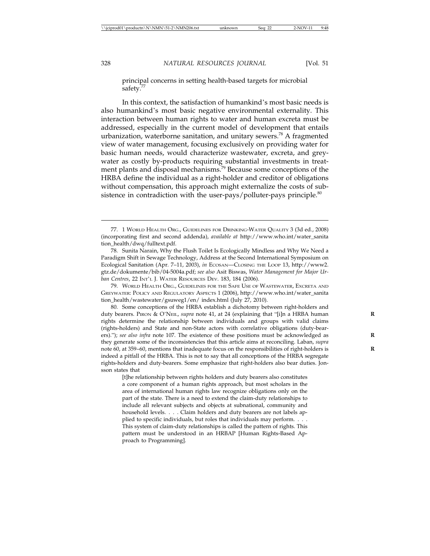principal concerns in setting health-based targets for microbial safety.<sup>7</sup>

In this context, the satisfaction of humankind's most basic needs is also humankind's most basic negative environmental externality. This interaction between human rights to water and human excreta must be addressed, especially in the current model of development that entails urbanization, waterborne sanitation, and unitary sewers.78 A fragmented view of water management, focusing exclusively on providing water for basic human needs, would characterize wastewater, excreta, and greywater as costly by-products requiring substantial investments in treatment plants and disposal mechanisms.<sup>79</sup> Because some conceptions of the HRBA define the individual as a right-holder and creditor of obligations without compensation, this approach might externalize the costs of subsistence in contradiction with the user-pays/polluter-pays principle.<sup>80</sup>

79. WORLD HEALTH ORG., GUIDELINES FOR THE SAFE USE OF WASTEWATER, EXCRETA AND GREYWATER: POLICY AND REGULATORY ASPECTS 1 (2006), http://www.who.int/water\_sanita tion\_health/wastewater/gsuweg1/en/ index.html (July 27, 2010).

80. Some conceptions of the HRBA establish a dichotomy between right-holders and duty bearers. PIRON & O'NEIL, *supra* note 41, at 24 (explaining that "[i]n a HRBA human **R** rights determine the relationship between individuals and groups with valid claims (rights-holders) and State and non-State actors with correlative obligations (duty-bearers)."); see also infra note 107. The existence of these positions must be acknowledged as they generate some of the inconsistencies that this article aims at reconciling. Laban, *supra* note 60, at 359–60, mentions that inadequate focus on the responsibilities of right-holders is **R** indeed a pitfall of the HRBA. This is not to say that all conceptions of the HRBA segregate rights-holders and duty-bearers. Some emphasize that right-holders also bear duties. Jonsson states that

[t]he relationship between rights holders and duty bearers also constitutes a core component of a human rights approach, but most scholars in the area of international human rights law recognize obligations only on the part of the state. There is a need to extend the claim-duty relationships to include all relevant subjects and objects at subnational, community and household levels. . . . Claim holders and duty bearers are not labels applied to specific individuals, but roles that individuals may perform.... This system of claim-duty relationships is called the pattern of rights. This pattern must be understood in an HRBAP [Human Rights-Based Approach to Programming].

<sup>77. 1</sup> WORLD HEALTH ORG., GUIDELINES FOR DRINKING-WATER QUALITY 3 (3d ed., 2008) (incorporating first and second addenda), *available at* http://www.who.int/water\_sanita tion\_health/dwq/fulltext.pdf.

<sup>78.</sup> Sunita Narain, Why the Flush Toilet Is Ecologically Mindless and Why We Need a Paradigm Shift in Sewage Technology, Address at the Second International Symposium on Ecological Sanitation (Apr. 7–11, 2003), *in* ECOSAN—CLOSING THE LOOP 13, http://www2. gtz.de/dokumente/bib/04-5004a.pdf; *see also* Asit Biswas, *Water Management for Major Urban Centres*, 22 INT'L J. WATER RESOURCES DEV. 183, 184 (2006).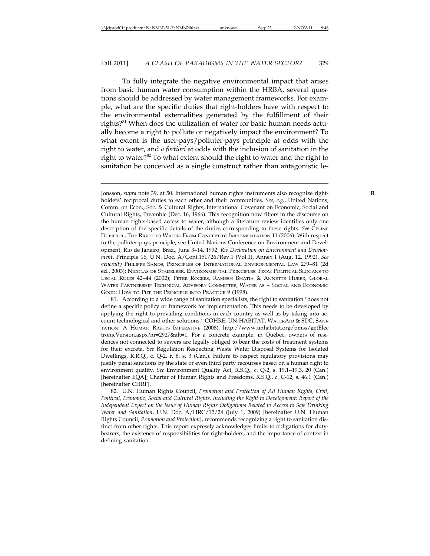To fully integrate the negative environmental impact that arises from basic human water consumption within the HRBA, several questions should be addressed by water management frameworks. For example, what are the specific duties that right-holders have with respect to the environmental externalities generated by the fulfillment of their rights?<sup>81</sup> When does the utilization of water for basic human needs actually become a right to pollute or negatively impact the environment? To what extent is the user-pays/polluter-pays principle at odds with the right to water, and *a fortiori* at odds with the inclusion of sanitation in the right to water?<sup>82</sup> To what extent should the right to water and the right to sanitation be conceived as a single construct rather than antagonistic le-

82. U.N. Human Rights Council, *Promotion and Protection of All Human Rights, Civil, Political, Economic, Social and Cultural Rights, Including the Right to Development: Report of the Independent Expert on the Issue of Human Rights Obligations Related to Access to Safe Drinking Water and Sanitation*, U.N. Doc. A/HRC/12/24 (July 1, 2009) [hereinafter U.N. Human Rights Council, *Promotion and Protection*], recommends recognizing a right to sanitation distinct from other rights. This report expressly acknowledges limits to obligations for dutybearers, the existence of responsibilities for right-holders, and the importance of context in defining sanitation.

Jonsson, *supra* note 39, at 50. International human rights instruments also recognize rightholders' reciprocal duties to each other and their communities. *See, e.g.*, United Nations, Comm. on Econ., Soc. & Cultural Rights, International Covenant on Economic, Social and Cultural Rights, Preamble (Dec. 16, 1966). This recognition now filters in the discourse on the human rights-based access to water, although a literature review identifies only one description of the specific details of the duties corresponding to these rights. See CELINE DUBREUIL, THE RIGHT TO WATER: FROM CONCEPT TO IMPLEMENTATION 11 (2006). With respect to the polluter-pays principle, see United Nations Conference on Environment and Development, Rio de Janeiro, Braz., June 3–14, 1992, *Rio Declaration on Environment and Development*, Principle 16, U.N. Doc. A/Conf.151/26/Rev.1 (Vol.1), Annex I (Aug. 12, 1992). *See generally* PHILIPPE SANDS, PRINCIPLES OF INTERNATIONAL ENVIRONMENTAL LAW 279–81 (2d ed., 2003); NICOLAS DE STADELEER, ENVIRONMENTAL PRINCIPLES: FROM POLITICAL SLOGANS TO LEGAL RULES 42–44 (2002); PETER ROGERS, RAMESH BHATIA & ANNETTE HUBER, GLOBAL WATER PARTNERSHIP TECHNICAL ADVISORY COMMITTEE, WATER AS A SOCIAL AND ECONOMIC GOOD: HOW TO PUT THE PRINCIPLE INTO PRACTICE 9 (1998).

<sup>81.</sup> According to a wide range of sanitation specialists, the right to sanitation "does not define a specific policy or framework for implementation. This needs to be developed by applying the right to prevailing conditions in each country as well as by taking into account technological and other solutions." COHRE, UN-HABITAT, WATERAID & SDC, SANI-TATION: A HUMAN RIGHTS IMPERATIVE (2008), http://www.unhabitat.org/pmss/getElec tronicVersion.aspx?nr=2927&alt=1. For a concrete example, in Québec, owners of residences not connected to sewers are legally obliged to bear the costs of treatment systems for their excreta. *See* Regulation Respecting Waste Water Disposal Systems for Isolated Dwellings, R.R.Q., c. Q-2, r. 8, s. 3 (Can.). Failure to respect regulatory provisions may justify penal sanctions by the state or even third party recourses based on a human right to environment quality. *See* Environment Quality Act, R.S.Q., c. Q-2, s. 19.1–19.3, 20 (Can.) [hereinafter EQA]; Charter of Human Rights and Freedoms, R.S.Q., c. C-12, s. 46.1 (Can.) [hereinafter CHRF].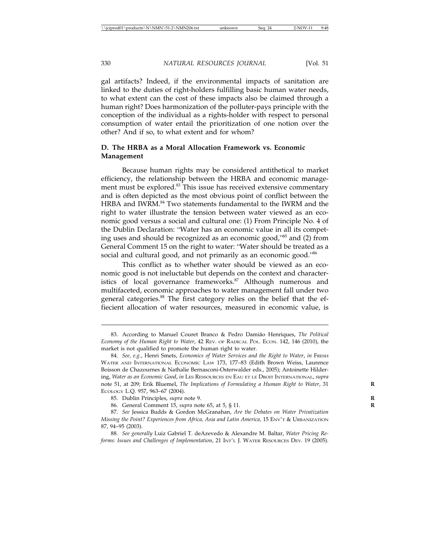gal artifacts? Indeed, if the environmental impacts of sanitation are linked to the duties of right-holders fulfilling basic human water needs, to what extent can the cost of these impacts also be claimed through a human right? Does harmonization of the polluter-pays principle with the conception of the individual as a rights-holder with respect to personal consumption of water entail the prioritization of one notion over the other? And if so, to what extent and for whom?

## **D. The HRBA as a Moral Allocation Framework vs. Economic Management**

Because human rights may be considered antithetical to market efficiency, the relationship between the HRBA and economic management must be explored.<sup>83</sup> This issue has received extensive commentary and is often depicted as the most obvious point of conflict between the HRBA and IWRM.<sup>84</sup> Two statements fundamental to the IWRM and the right to water illustrate the tension between water viewed as an economic good versus a social and cultural one: (1) From Principle No. 4 of the Dublin Declaration: "Water has an economic value in all its competing uses and should be recognized as an economic good,"85 and (2) from General Comment 15 on the right to water: "Water should be treated as a social and cultural good, and not primarily as an economic good."<sup>86</sup>

This conflict as to whether water should be viewed as an economic good is not ineluctable but depends on the context and characteristics of local governance frameworks.<sup>87</sup> Although numerous and multifaceted, economic approaches to water management fall under two general categories.<sup>88</sup> The first category relies on the belief that the effiecient allocation of water resources, measured in economic value, is

<sup>83.</sup> According to Manuel Couret Branco & Pedro Damião Henriques, *The Political Economy of the Human Right to Water*, 42 REV. OF RADICAL POL. ECON. 142, 146 (2010), the market is not qualified to promote the human right to water.

<sup>84.</sup> *See, e.g.*, Henri Smets, *Economics of Water Services and the Right to Water*, *in* FRESH WATER AND INTERNATIONAL ECONOMIC LAW 173, 177–83 (Edith Brown Weiss, Laurence Boisson de Chazournes & Nathalie Bernasconi-Osterwalder eds., 2005); Antoinette Hildering, *Water as an Economic Good*, *in* LES RESSOURCES EN EAU ET LE DROIT INTERNATIONAL, *supra* note 51, at 209; Erik Bluemel, *The Implications of Formulating a Human Right to Water*, 31 **R** ECOLOGY L.Q. 957, 963–67 (2004).

<sup>85.</sup> Dublin Principles, *supra* note 9. **R**

<sup>86.</sup> General Comment 15, *supra* note 65, at 5, § 11. **R**

<sup>87.</sup> *See* Jessica Budds & Gordon McGranahan, *Are the Debates on Water Privatization Missing the Point? Experiences from Africa, Asia and Latin America,* 15 ENV'T & URBANIZATION 87, 94–95 (2003).

<sup>88.</sup> *See generally* Luiz Gabriel T. deAzevedo & Alexandre M. Baltar, *Water Pricing Reforms: Issues and Challenges of Implementation*, 21 INT'L J. WATER RESOURCES DEV. 19 (2005).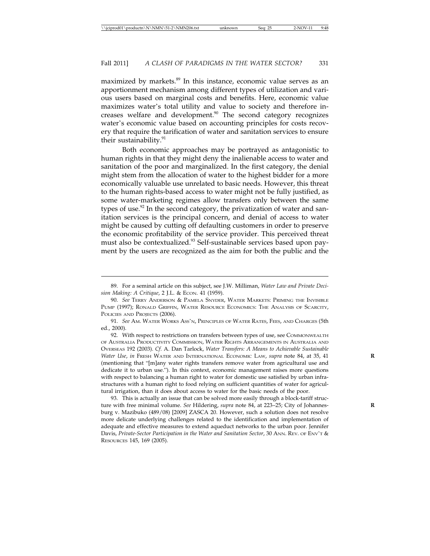maximized by markets.<sup>89</sup> In this instance, economic value serves as an apportionment mechanism among different types of utilization and various users based on marginal costs and benefits. Here, economic value maximizes water's total utility and value to society and therefore increases welfare and development.<sup>90</sup> The second category recognizes water's economic value based on accounting principles for costs recovery that require the tarification of water and sanitation services to ensure their sustainability.<sup>91</sup>

Both economic approaches may be portrayed as antagonistic to human rights in that they might deny the inalienable access to water and sanitation of the poor and marginalized. In the first category, the denial might stem from the allocation of water to the highest bidder for a more economically valuable use unrelated to basic needs. However, this threat to the human rights-based access to water might not be fully justified, as some water-marketing regimes allow transfers only between the same types of use.<sup>92</sup> In the second category, the privatization of water and sanitation services is the principal concern, and denial of access to water might be caused by cutting off defaulting customers in order to preserve the economic profitability of the service provider. This perceived threat must also be contextualized.<sup>93</sup> Self-sustainable services based upon payment by the users are recognized as the aim for both the public and the

<sup>89.</sup> For a seminal article on this subject, see J.W. Milliman, *Water Law and Private Decision Making: A Critique*, 2 J.L. & ECON. 41 (1959).

<sup>90.</sup> *See* TERRY ANDERSON & PAMELA SNYDER, WATER MARKETS: PRIMING THE INVISIBLE PUMP (1997); RONALD GRIFFIN, WATER RESOURCE ECONOMICS: THE ANALYSIS OF SCARCITY, POLICIES AND PROJECTS (2006).

<sup>91.</sup> *See* AM. WATER WORKS ASS'N, PRINCIPLES OF WATER RATES, FEES, AND CHARGES (5th ed., 2000).

<sup>92.</sup> With respect to restrictions on transfers between types of use, see COMMONWEALTH OF AUSTRALIA PRODUCTIVITY COMMISSION, WATER RIGHTS ARRANGEMENTS IN AUSTRALIA AND OVERSEAS 192 (2003). *Cf.* A. Dan Tarlock, *Water Transfers: A Means to Achievable Sustainable Water Use*, *in* FRESH WATER AND INTERNATIONAL ECONOMIC LAW, *supra* note 84, at 35, 41 **R** (mentioning that "[m]any water rights transfers remove water from agricultural use and dedicate it to urban use."). In this context, economic management raises more questions with respect to balancing a human right to water for domestic use satisfied by urban infrastructures with a human right to food relying on sufficient quantities of water for agricultural irrigation, than it does about access to water for the basic needs of the poor.

<sup>93.</sup> This is actually an issue that can be solved more easily through a block-tariff structure with free minimal volume. See Hildering, *supra* note 84, at 223-25; City of Johannesburg v. Mazibuko (489/08) [2009] ZASCA 20. However, such a solution does not resolve more delicate underlying challenges related to the identification and implementation of adequate and effective measures to extend aqueduct networks to the urban poor. Jennifer Davis, *Private-Sector Participation in the Water and Sanitation Sector*, 30 ANN. REV. OF ENV'T & RESOURCES 145, 169 (2005).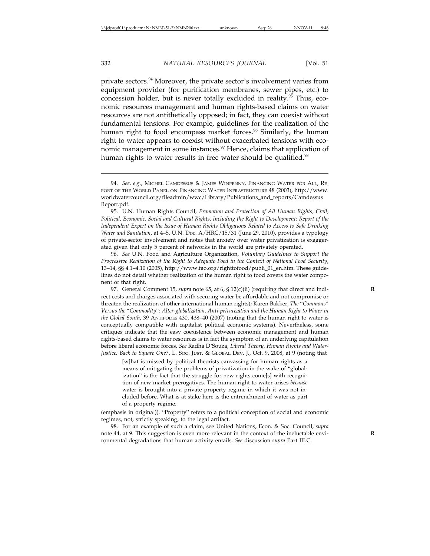private sectors.<sup>94</sup> Moreover, the private sector's involvement varies from equipment provider (for purification membranes, sewer pipes, etc.) to concession holder, but is never totally excluded in reality.95 Thus, economic resources management and human rights-based claims on water resources are not antithetically opposed; in fact, they can coexist without fundamental tensions. For example, guidelines for the realization of the human right to food encompass market forces.<sup>96</sup> Similarly, the human right to water appears to coexist without exacerbated tensions with economic management in some instances.<sup>97</sup> Hence, claims that application of human rights to water results in free water should be qualified.<sup>98</sup>

96. *See* U.N. Food and Agriculture Organization, *Voluntary Guidelines to Support the Progressive Realization of the Right to Adequate Food in the Context of National Food Security*, 13–14, §§ 4.1–4.10 (2005), http://www.fao.org/righttofood/publi\_01\_en.htm. These guidelines do not detail whether realization of the human right to food covers the water component of that right.

97. General Comment 15, *supra* note 65, at 6, § 12(c)(ii) (requiring that direct and indirect costs and charges associated with securing water be affordable and not compromise or threaten the realization of other international human rights); Karen Bakker, *The* "*Commons*" *Versus the* "*Commodity*"*: Alter-globalization, Anti-privatization and the Human Right to Water in the Global South*, 39 ANTIPODES 430, 438–40 (2007) (noting that the human right to water is conceptually compatible with capitalist political economic systems). Nevertheless, some critiques indicate that the easy coexistence between economic management and human rights-based claims to water resources is in fact the symptom of an underlying capitulation before liberal economic forces. *See* Radha D'Souza, *Liberal Theory, Human Rights and Water-Justice: Back to Square One?*, L. Soc. JUST. & GLOBAL DEV. J., Oct. 9, 2008, at 9 (noting that

[w]hat is missed by political theorists canvassing for human rights as a means of mitigating the problems of privatization in the wake of "globalization" is the fact that the struggle for new rights come[s] with recognition of new market prerogatives. The human right to water arises *because* water is brought into a private property regime in which it was not included before. What is at stake here is the entrenchment of water as part of a property regime.

(emphasis in original)). "Property" refers to a political conception of social and economic regimes, not, strictly speaking, to the legal artifact.

98. For an example of such a claim, see United Nations, Econ. & Soc. Council, *supra* note 44, at 9. This suggestion is even more relevant in the context of the ineluctable environmental degradations that human activity entails. *See* discussion *supra* Part III.C.

<sup>94.</sup> *See, e.g.*, MICHEL CAMDESSUS & JAMES WINPENNY, FINANCING WATER FOR ALL, RE-PORT OF THE WORLD PANEL ON FINANCING WATER INFRASTRUCTURE 48 (2003), http://www. worldwatercouncil.org/fileadmin/wwc/Library/Publications\_and\_reports/Camdessus Report.pdf.

<sup>95.</sup> U.N. Human Rights Council, *Promotion and Protection of All Human Rights, Civil, Political, Economic, Social and Cultural Rights, Including the Right to Development: Report of the Independent Expert on the Issue of Human Rights Obligations Related to Access to Safe Drinking Water and Sanitation*, at 4–5, U.N. Doc. A/HRC/15/31 (June 29, 2010), provides a typology of private-sector involvement and notes that anxiety over water privatization is exaggerated given that only 5 percent of networks in the world are privately operated.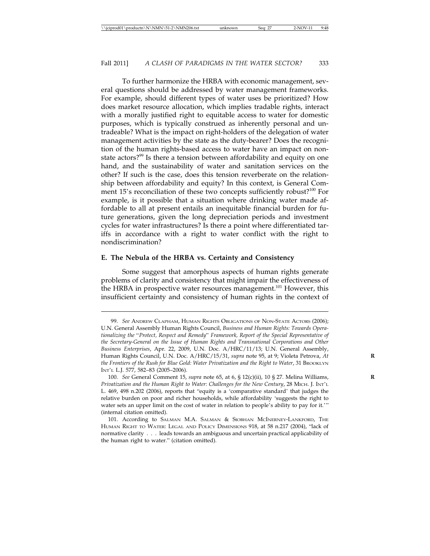To further harmonize the HRBA with economic management, several questions should be addressed by water management frameworks. For example, should different types of water uses be prioritized? How does market resource allocation, which implies tradable rights, interact with a morally justified right to equitable access to water for domestic purposes, which is typically construed as inherently personal and untradeable? What is the impact on right-holders of the delegation of water management activities by the state as the duty-bearer? Does the recognition of the human rights-based access to water have an impact on nonstate actors?<sup>99</sup> Is there a tension between affordability and equity on one hand, and the sustainability of water and sanitation services on the other? If such is the case, does this tension reverberate on the relationship between affordability and equity? In this context, is General Comment 15's reconciliation of these two concepts sufficiently robust?<sup>100</sup> For example, is it possible that a situation where drinking water made affordable to all at present entails an inequitable financial burden for future generations, given the long depreciation periods and investment cycles for water infrastructures? Is there a point where differentiated tariffs in accordance with a right to water conflict with the right to nondiscrimination?

#### **E. The Nebula of the HRBA vs. Certainty and Consistency**

Some suggest that amorphous aspects of human rights generate problems of clarity and consistency that might impair the effectiveness of the HRBA in prospective water resources management.<sup>101</sup> However, this insufficient certainty and consistency of human rights in the context of

<sup>99.</sup> *See* ANDREW CLAPHAM, HUMAN RIGHTS OBLIGATIONS OF NON-STATE ACTORS (2006); U.N. General Assembly Human Rights Council, *Business and Human Rights: Towards Operationalizing the* "*Protect, Respect and Remedy*" *Framework, Report of the Special Representative of the Secretary-General on the Issue of Human Rights and Transnational Corporations and Other Business Enterprises*, Apr. 22, 2009, U.N. Doc. A/HRC/11/13; U.N. General Assembly, Human Rights Council, U.N. Doc. A/HRC/15/31, *supra* note 95, at 9; Violeta Petrova, *At* **R** *the Frontiers of the Rush for Blue Gold: Water Privatization and the Right to Water*, 31 BROOKLYN INT'L L.J. 577, 582–83 (2005–2006).

<sup>100.</sup> *See* General Comment 15, *supra* note 65, at 6, § 12(c)(ii), 10 § 27. Melina Williams, **R** *Privatization and the Human Right to Water: Challenges for the New Century*, 28 MICH. J. INT'L L. 469, 498 n.202 (2006), reports that "equity is a 'comparative standard' that judges the relative burden on poor and richer households, while affordability 'suggests the right to water sets an upper limit on the cost of water in relation to people's ability to pay for it.'" (internal citation omitted).

<sup>101.</sup> According to SALMAN M.A. SALMAN & SIOBHAN MCINERNEY-LANKFORD, THE HUMAN RIGHT TO WATER: LEGAL AND POLICY DIMENSIONS 918, at 58 n.217 (2004), "lack of normative clarity... leads towards an ambiguous and uncertain practical applicability of the human right to water." (citation omitted).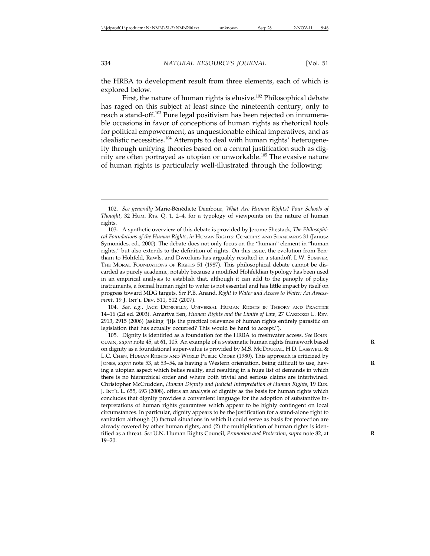the HRBA to development result from three elements, each of which is explored below.

First, the nature of human rights is elusive.<sup>102</sup> Philosophical debate has raged on this subject at least since the nineteenth century, only to reach a stand-off.<sup>103</sup> Pure legal positivism has been rejected on innumerable occasions in favor of conceptions of human rights as rhetorical tools for political empowerment, as unquestionable ethical imperatives, and as idealistic necessities.<sup>104</sup> Attempts to deal with human rights' heterogeneity through unifying theories based on a central justification such as dignity are often portrayed as utopian or unworkable.105 The evasive nature of human rights is particularly well-illustrated through the following:

104. *See, e.g.,* JACK DONNELLY, UNIVERSAL HUMAN RIGHTS IN THEORY AND PRACTICE 14–16 (2d ed. 2003). Amartya Sen, *Human Rights and the Limits of Law,* 27 CARDOZO L. REV. 2913, 2915 (2006) (asking "[i]s the practical relevance of human rights entirely parasitic on legislation that has actually occurred? This would be hard to accept.").

105. Dignity is identified as a foundation for the HRBA to freshwater access. See BOUR-QUAIN, *supra* note 45, at 61, 105. An example of a systematic human rights framework based **R** on dignity as a foundational super-value is provided by M.S. McDOUGAL, H.D. LASSWELL & L.C. CHEN, HUMAN RIGHTS AND WORLD PUBLIC ORDER (1980). This approach is criticized by JONES, *supra* note 53, at 53-54, as having a Western orientation, being difficult to use, having a utopian aspect which belies reality, and resulting in a huge list of demands in which there is no hierarchical order and where both trivial and serious claims are intertwined. Christopher McCrudden, *Human Dignity and Judicial Interpretation of Human Rights*, 19 EUR. J. INT'L L. 655, 693 (2008), offers an analysis of dignity as the basis for human rights which concludes that dignity provides a convenient language for the adoption of substantive interpretations of human rights guarantees which appear to be highly contingent on local circumstances. In particular, dignity appears to be the justification for a stand-alone right to sanitation although (1) factual situations in which it could serve as basis for protection are already covered by other human rights, and (2) the multiplication of human rights is identified as a threat. *See* U.N. Human Rights Council, *Promotion and Protection*, *supra* note 82, at **R** 19–20.

<sup>102.</sup> See generally Marie-Bénédicte Dembour, *What Are Human Rights? Four Schools of Thought*, 32 HUM. RTS. Q. 1, 2–4, for a typology of viewpoints on the nature of human rights.

<sup>103.</sup> A synthetic overview of this debate is provided by Jerome Shestack, *The Philosophical Foundations of the Human Rights*, *in* HUMAN RIGHTS: CONCEPTS AND STANDARDS 31 (Janusz Symonides, ed., 2000). The debate does not only focus on the "human" element in "human rights," but also extends to the definition of rights. On this issue, the evolution from Bentham to Hohfeld, Rawls, and Dworkins has arguably resulted in a standoff. L.W. SUMNER, THE MORAL FOUNDATIONS OF RIGHTS 51 (1987). This philosophical debate cannot be discarded as purely academic, notably because a modified Hohfeldian typology has been used in an empirical analysis to establish that, although it can add to the panoply of policy instruments, a formal human right to water is not essential and has little impact by itself on progress toward MDG targets. *See* P.B. Anand, *Right to Water and Access to Water: An Assessment*, 19 J. INT'L DEV. 511, 512 (2007).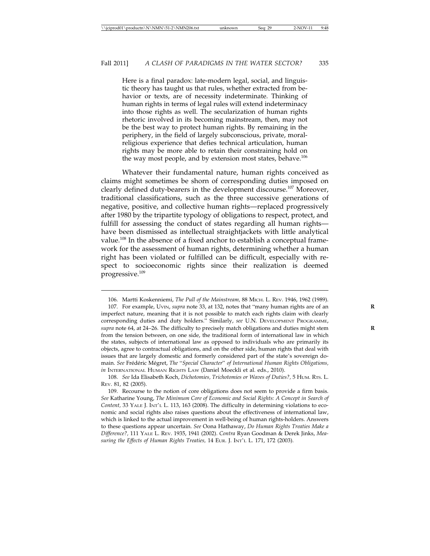Here is a final paradox: late-modern legal, social, and linguistic theory has taught us that rules, whether extracted from behavior or texts, are of necessity indeterminate. Thinking of human rights in terms of legal rules will extend indeterminacy into those rights as well. The secularization of human rights rhetoric involved in its becoming mainstream, then, may not be the best way to protect human rights. By remaining in the periphery, in the field of largely subconscious, private, moralreligious experience that defies technical articulation, human rights may be more able to retain their constraining hold on the way most people, and by extension most states, behave.<sup>106</sup>

Whatever their fundamental nature, human rights conceived as claims might sometimes be shorn of corresponding duties imposed on clearly defined duty-bearers in the development discourse.<sup>107</sup> Moreover, traditional classifications, such as the three successive generations of negative, positive, and collective human rights—replaced progressively after 1980 by the tripartite typology of obligations to respect, protect, and fulfill for assessing the conduct of states regarding all human rights have been dismissed as intellectual straightjackets with little analytical value.<sup>108</sup> In the absence of a fixed anchor to establish a conceptual framework for the assessment of human rights, determining whether a human right has been violated or fulfilled can be difficult, especially with respect to socioeconomic rights since their realization is deemed progressive.<sup>109</sup>

<sup>106.</sup> Martti Koskenniemi, *The Pull of the Mainstream,* 88 MICH. L. REV. 1946, 1962 (1989). 107. For example, UvIN, *supra* note 33, at 132, notes that "many human rights are of an imperfect nature, meaning that it is not possible to match each rights claim with clearly corresponding duties and duty holders." Similarly, *see* U.N. DEVELOPMENT PROGRAMME, *supra* note 64, at 24–26. The difficulty to precisely match obligations and duties might stem **R** from the tension between, on one side, the traditional form of international law in which the states, subjects of international law as opposed to individuals who are primarily its objects, agree to contractual obligations, and on the other side, human rights that deal with issues that are largely domestic and formerly considered part of the state's sovereign domain. See Frédéric Mégret, *The "Special Character" of International Human Rights Obligations*, *in* INTERNATIONAL HUMAN RIGHTS LAW (Daniel Moeckli et al. eds., 2010).

<sup>108.</sup> *See* Ida Elisabeth Koch, *Dichotomies, Trichotomies or Waves of Duties?,* 5 HUM. RTS. L. REV. 81, 82 (2005).

<sup>109.</sup> Recourse to the notion of core obligations does not seem to provide a firm basis. *See* Katharine Young, *The Minimum Core of Economic and Social Rights: A Concept in Search of Content,* 33 YALE J. INT'L L. 113, 163 (2008). The difficulty in determining violations to economic and social rights also raises questions about the effectiveness of international law, which is linked to the actual improvement in well-being of human rights-holders. Answers to these questions appear uncertain. *See* Oona Hathaway, *Do Human Rights Treaties Make a Difference?,* 111 YALE L. REV. 1935, 1941 (2002). *Contra* Ryan Goodman & Derek Jinks, *Measuring the Effects of Human Rights Treaties,* 14 EUR. J. INT'L L. 171, 172 (2003).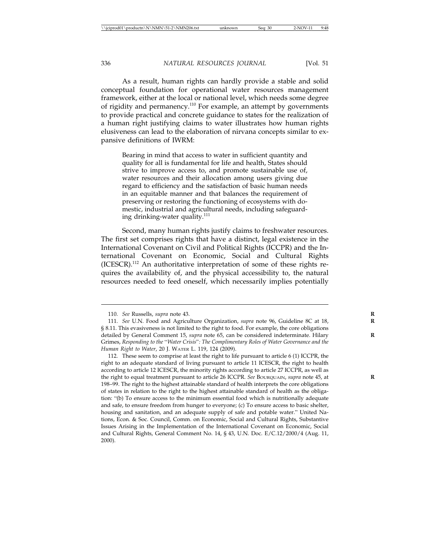As a result, human rights can hardly provide a stable and solid conceptual foundation for operational water resources management framework, either at the local or national level, which needs some degree of rigidity and permanency.110 For example, an attempt by governments to provide practical and concrete guidance to states for the realization of a human right justifying claims to water illustrates how human rights elusiveness can lead to the elaboration of nirvana concepts similar to expansive definitions of IWRM:

Bearing in mind that access to water in sufficient quantity and quality for all is fundamental for life and health, States should strive to improve access to, and promote sustainable use of, water resources and their allocation among users giving due regard to efficiency and the satisfaction of basic human needs in an equitable manner and that balances the requirement of preserving or restoring the functioning of ecosystems with domestic, industrial and agricultural needs, including safeguarding drinking-water quality.<sup>111</sup>

Second, many human rights justify claims to freshwater resources. The first set comprises rights that have a distinct, legal existence in the International Covenant on Civil and Political Rights (ICCPR) and the International Covenant on Economic, Social and Cultural Rights (ICESCR).112 An authoritative interpretation of some of these rights requires the availability of, and the physical accessibility to, the natural resources needed to feed oneself, which necessarily implies potentially

<sup>110.</sup> *See* Russells, *supra* note 43. **R**

<sup>111.</sup> *See* U.N. Food and Agriculture Organization, *supra* note 96, Guideline 8C at 18, **R** § 8.11. This evasiveness is not limited to the right to food. For example, the core obligations detailed by General Comment 15, *supra* note 65, can be considered indeterminate. Hilary Grimes, *Responding to the* "*Water Crisis*"*: The Complimentary Roles of Water Governance and the Human Right to Water*, 20 J. WATER L. 119, 124 (2009).

<sup>112.</sup> These seem to comprise at least the right to life pursuant to article 6 (1) ICCPR, the right to an adequate standard of living pursuant to article 11 ICESCR, the right to health according to article 12 ICESCR, the minority rights according to article 27 ICCPR, as well as the right to equal treatment pursuant to article 26 ICCPR. See BOURQUAIN, supra note 45, at 198–99. The right to the highest attainable standard of health interprets the core obligations of states in relation to the right to the highest attainable standard of health as the obligation: "(b) To ensure access to the minimum essential food which is nutritionally adequate and safe, to ensure freedom from hunger to everyone; (c) To ensure access to basic shelter, housing and sanitation, and an adequate supply of safe and potable water." United Nations, Econ. & Soc. Council, Comm. on Economic, Social and Cultural Rights, Substantive Issues Arising in the Implementation of the International Covenant on Economic, Social and Cultural Rights, General Comment No. 14, § 43, U.N. Doc. E/C.12/2000/4 (Aug. 11, 2000).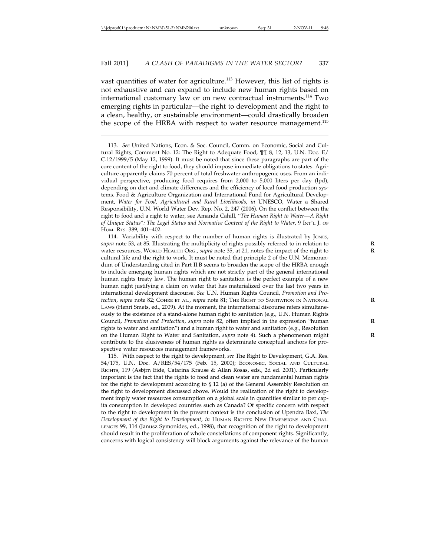vast quantities of water for agriculture.<sup>113</sup> However, this list of rights is not exhaustive and can expand to include new human rights based on international customary law or on new contractual instruments.<sup>114</sup> Two emerging rights in particular—the right to development and the right to a clean, healthy, or sustainable environment—could drastically broaden the scope of the HRBA with respect to water resource management.<sup>115</sup>

114. Variability with respect to the number of human rights is illustrated by JONES, *supra* note 53, at 85. Illustrating the multiplicity of rights possibly referred to in relation to **R** water resources, WORLD HEALTH ORG., *supra* note 35, at 21, notes the impact of the right to **R** cultural life and the right to work. It must be noted that principle 2 of the U.N. Memorandum of Understanding cited in Part II.B seems to broaden the scope of the HRBA enough to include emerging human rights which are not strictly part of the general international human rights treaty law. The human right to sanitation is the perfect example of a new human right justifying a claim on water that has materialized over the last two years in international development discourse. *See* U.N. Human Rights Council, *Promotion and Protection*, *supra* note 82; COHRE ET AL., *supra* note 81; THE RIGHT TO SANITATION IN NATIONAL **R** LAWS (Henri Smets, ed., 2009). At the moment, the international discourse refers simultaneously to the existence of a stand-alone human right to sanitation (e.g., U.N. Human Rights Council, *Promotion and Protection, supra* note 82, often implied in the expression "human rights to water and sanitation") and a human right to water and sanitation (e.g., Resolution on the Human Right to Water and Sanitation, *supra* note 4). Such a phenomenon might contribute to the elusiveness of human rights as determinate conceptual anchors for prospective water resources management frameworks.

115. With respect to the right to development, *see* The Right to Development, G.A. Res. 54/175, U.N. Doc. A/RES/54/175 (Feb. 15, 2000); ECONOMIC, SOCIAL AND CULTURAL RIGHTS, 119 (Asbjrn Eide, Catarina Krause & Allan Rosas, eds., 2d ed. 2001). Particularly important is the fact that the rights to food and clean water are fundamental human rights for the right to development according to § 12 (a) of the General Assembly Resolution on the right to development discussed above. Would the realization of the right to development imply water resources consumption on a global scale in quantities similar to per capita consumption in developed countries such as Canada? Of specific concern with respect to the right to development in the present context is the conclusion of Upendra Baxi, *The Development of the Right to Development*, *in* HUMAN RIGHTS: NEW DIMENSIONS AND CHAL-LENGES 99, 114 (Janusz Symonides, ed., 1998), that recognition of the right to development should result in the proliferation of whole constellations of component rights. Significantly, concerns with logical consistency will block arguments against the relevance of the human

<sup>113.</sup> *See* United Nations, Econ. & Soc. Council, Comm. on Economic, Social and Cultural Rights, Comment No. 12: The Right to Adequate Food, ¶¶ 8, 12, 13, U.N. Doc. E/ C.12/1999/5 (May 12, 1999). It must be noted that since these paragraphs are part of the core content of the right to food, they should impose immediate obligations to states. Agriculture apparently claims 70 percent of total freshwater anthropogenic uses. From an individual perspective, producing food requires from 2,000 to 5,000 liters per day (lpd), depending on diet and climate differences and the efficiency of local food production systems. Food & Agriculture Organization and International Fund for Agricultural Development, *Water for Food, Agricultural and Rural Livelihoods*, *in* UNESCO, Water a Shared Responsibility, U.N. World Water Dev. Rep. No. 2, 247 (2006). On the conflict between the right to food and a right to water, see Amanda Cahill, "*The Human Right to Water—A Right of Unique Status*"*: The Legal Status and Normative Content of the Right to Water*, 9 INT'L J. OF HUM. RTS. 389, 401–402.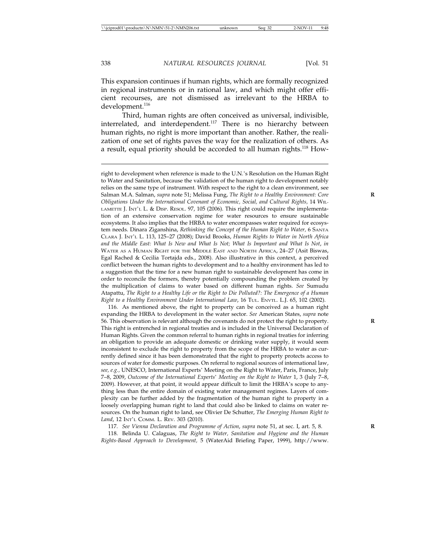This expansion continues if human rights, which are formally recognized in regional instruments or in rational law, and which might offer efficient recourses, are not dismissed as irrelevant to the HRBA to development.<sup>116</sup>

Third, human rights are often conceived as universal, indivisible, interrelated, and interdependent.<sup>117</sup> There is no hierarchy between human rights, no right is more important than another. Rather, the realization of one set of rights paves the way for the realization of others. As a result, equal priority should be accorded to all human rights.<sup>118</sup> How-

right to development when reference is made to the U.N.'s Resolution on the Human Right to Water and Sanitation, because the validation of the human right to development notably relies on the same type of instrument. With respect to the right to a clean environment, see Salman M.A. Salman, *supra* note 51; Melissa Fung, *The Right to a Healthy Environment: Core* **R** *Obligations Under the International Covenant of Economic, Social, and Cultural Rights,* 14 WIL-LAMETTE J. INT'L L. & DISP. RESOL. 97, 105 (2006). This right could require the implementation of an extensive conservation regime for water resources to ensure sustainable ecosystems. It also implies that the HRBA to water encompasses water required for ecosystem needs. Dinara Ziganshina, *Rethinking the Concept of the Human Right to Water,* 6 SANTA CLARA J. INT'L L. 113, 125–27 (2008); David Brooks, *Human Rights to Water in North Africa and the Middle East: What Is New and What Is Not; What Is Important and What Is Not*, *in* WATER AS A HUMAN RIGHT FOR THE MIDDLE EAST AND NORTH AFRICA, 24–27 (Asit Biswas, Egal Rached & Cecilia Tortajda eds., 2008). Also illustrative in this context, a perceived conflict between the human rights to development and to a healthy environment has led to a suggestion that the time for a new human right to sustainable development has come in order to reconcile the formers, thereby potentially compounding the problem created by the multiplication of claims to water based on different human rights. *See* Sumudu Atapattu, *The Right to a Healthy Life or the Right to Die Polluted?: The Emergence of a Human Right to a Healthy Environment Under International Law*, 16 TUL. ENVTL. L.J. 65, 102 (2002).

116. As mentioned above, the right to property can be conceived as a human right expanding the HRBA to development in the water sector. *See* American States, *supra* note 56. This observation is relevant although the covenants do not protect the right to property. **R** This right is entrenched in regional treaties and is included in the Universal Declaration of Human Rights. Given the common referral to human rights in regional treaties for inferring an obligation to provide an adequate domestic or drinking water supply, it would seem inconsistent to exclude the right to property from the scope of the HRBA to water as currently defined since it has been demonstrated that the right to property protects access to sources of water for domestic purposes. On referral to regional sources of international law, *see, e.g.,* UNESCO, International Experts' Meeting on the Right to Water, Paris, France, July 7–8, 2009, *Outcome of the International Experts*' *Meeting on the Right to Water* 1, 3 (July 7–8, 2009). However, at that point, it would appear difficult to limit the HRBA's scope to anything less than the entire domain of existing water management regimes. Layers of complexity can be further added by the fragmentation of the human right to property in a loosely overlapping human right to land that could also be linked to claims on water resources. On the human right to land, see Olivier De Schutter, *The Emerging Human Right to* Land, 12 INT'L COMM. L. REV. 303 (2010).

117. *See Vienna Declaration and Programme of Action*, *supra* note 51, at sec. I, art. 5, 8. **R**

118. Belinda U. Calaguas, *The Right to Water, Sanitation and Hygiene and the Human Rights-Based Approach to Development,* 5 (WaterAid Briefing Paper, 1999), http://www.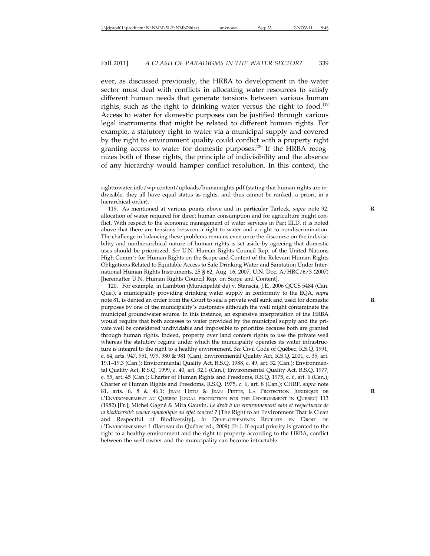ever, as discussed previously, the HRBA to development in the water sector must deal with conflicts in allocating water resources to satisfy different human needs that generate tensions between various human rights, such as the right to drinking water versus the right to food.<sup>119</sup> Access to water for domestic purposes can be justified through various legal instruments that might be related to different human rights. For example, a statutory right to water via a municipal supply and covered by the right to environment quality could conflict with a property right granting access to water for domestic purposes.120 If the HRBA recognizes both of these rights, the principle of indivisibility and the absence of any hierarchy would hamper conflict resolution. In this context, the

120. For example, in Lambton (Municipalité de) v. Stanscia, J.E., 2006 QCCS 5484 (Can. Que.), a municipality providing drinking water supply in conformity to the EQA, *supra* note 81, is denied an order from the Court to seal a private well sunk and used for domestic **R** purposes by one of the municipality's customers although the well might contaminate the municipal groundwater source. In this instance, an expansive interpretation of the HRBA would require that both accesses to water provided by the municipal supply and the private well be considered undividable and impossible to prioritize because both are granted through human rights. Indeed, property over land confers rights to use the private well whereas the statutory regime under which the municipality operates its water infrastructure is integral to the right to a healthy environment. *See* Civil Code of Québec, R.S.Q. 1991, c. 64, arts. 947, 951, 979, 980 & 981 (Can); Environmental Quality Act, R.S.Q. 2001, c. 35, art. 19.1–19.3 (Can.); Environmental Quality Act, R.S.Q. 1988, c. 49, art. 32 (Can.); Environmental Quality Act, R.S.Q. 1999, c. 40, art. 32.1 (Can.); Environmental Quality Act, R.S.Q. 1977, c. 55, art. 45 (Can.); Charter of Human Rights and Freedoms, R.S.Q. 1975, c. 6, art. 6 (Can.); Charter of Human Rights and Freedoms, R.S.Q. 1975, c. 6, art. 8 (Can.); CHRF, *supra* note 81, arts. 6, 8 & 46.1; JEAN HÉTU & JEAN PIETTE, LA PROTECTION JURIDIQUE DE L'ENVIRONNEMENT AU QUÉBEC [LEGAL PROTECTION FOR THE ENVIRONMENT IN QUEBEC] 113 (1982) [Fr.]; Michel Gagn´e & Mira Gauvin, *Le droit `a un environnement sain et respectueux de* la biodiversité: valeur symbolique ou effet concret ? [The Right to an Environment That Is Clean and Respectful of Biodiversity], *in* Développements Récents en Droit de L'ENVIRONNEMENT 1 (Barreau du Québec ed., 2009) [Fr.]. If equal priority is granted to the right to a healthy environment and the right to property according to the HRBA, conflict between the well owner and the municipality can become intractable.

righttowater.info/wp-content/uploads/humanrights.pdf (stating that human rights are indivisible, they all have equal status as rights, and thus cannot be ranked, a priori, in a hierarchical order).

<sup>119.</sup> As mentioned at various points above and in particular Tarlock, *supra* note 92, **R** allocation of water required for direct human consumption and for agriculture might conflict. With respect to the economic management of water services in Part III.D, it is noted above that there are tensions between a right to water and a right to nondiscrimination. The challenge in balancing these problems remains even once the discourse on the indivisibility and nonhierarchical nature of human rights is set aside by agreeing that domestic uses should be prioritized. *See* U.N. Human Rights Council Rep. of the United Nations High Comm'r for Human Rights on the Scope and Content of the Relevant Human Rights Obligations Related to Equitable Access to Safe Drinking Water and Sanitation Under International Human Rights Instruments, 25 § 62, Aug. 16, 2007, U.N. Doc. A/HRC/6/3 (2007) [hereinafter U.N. Human Rights Council Rep. on Scope and Content].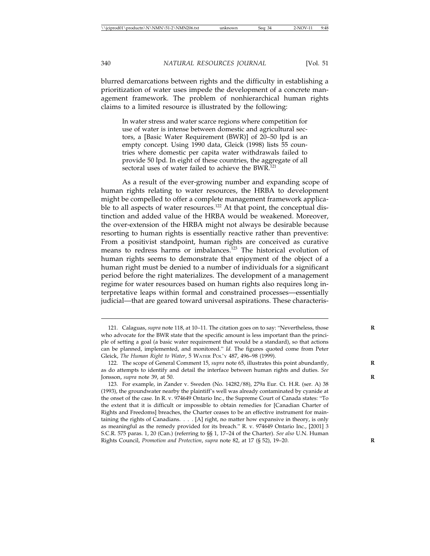blurred demarcations between rights and the difficulty in establishing a prioritization of water uses impede the development of a concrete management framework. The problem of nonhierarchical human rights claims to a limited resource is illustrated by the following:

In water stress and water scarce regions where competition for use of water is intense between domestic and agricultural sectors, a [Basic Water Requirement (BWR)] of 20–50 lpd is an empty concept. Using 1990 data, Gleick (1998) lists 55 countries where domestic per capita water withdrawals failed to provide 50 lpd. In eight of these countries, the aggregate of all sectoral uses of water failed to achieve the BWR.<sup>121</sup>

As a result of the ever-growing number and expanding scope of human rights relating to water resources, the HRBA to development might be compelled to offer a complete management framework applicable to all aspects of water resources.<sup>122</sup> At that point, the conceptual distinction and added value of the HRBA would be weakened. Moreover, the over-extension of the HRBA might not always be desirable because resorting to human rights is essentially reactive rather than preventive: From a positivist standpoint, human rights are conceived as curative means to redress harms or imbalances.<sup>123</sup> The historical evolution of human rights seems to demonstrate that enjoyment of the object of a human right must be denied to a number of individuals for a significant period before the right materializes. The development of a management regime for water resources based on human rights also requires long interpretative leaps within formal and constrained processes—essentially judicial—that are geared toward universal aspirations. These characteris-

<sup>121.</sup> Calaguas, *supra* note 118, at 10–11. The citation goes on to say: "Nevertheless, those who advocate for the BWR state that the specific amount is less important than the principle of setting a goal (a basic water requirement that would be a standard), so that actions can be planned, implemented, and monitored." *Id.* The figures quoted come from Peter Gleick, *The Human Right to Water*, 5 WATER POL'Y 487, 496–98 (1999).

<sup>122.</sup> The scope of General Comment 15, *supra* note 65, illustrates this point abundantly, as do attempts to identify and detail the interface between human rights and duties. *See* Jonsson, *supra* note 39, at 50. **R**

<sup>123.</sup> For example, in Zander v. Sweden (No. 14282/88), 279a Eur. Ct. H.R. (ser. A) 38 (1993), the groundwater nearby the plaintiff's well was already contaminated by cyanide at the onset of the case. In R. v. 974649 Ontario Inc., the Supreme Court of Canada states: "To the extent that it is difficult or impossible to obtain remedies for [Canadian Charter of Rights and Freedoms] breaches, the Charter ceases to be an effective instrument for maintaining the rights of Canadians. . . . [A] right, no matter how expansive in theory, is only as meaningful as the remedy provided for its breach." R. v. 974649 Ontario Inc., [2001] 3 S.C.R. 575 paras. 1, 20 (Can.) (referring to §§ 1, 17–24 of the Charter). *See also* U.N. Human Rights Council, *Promotion and Protection*, *supra* note 82, at 17 (§ 52), 19–20. **R**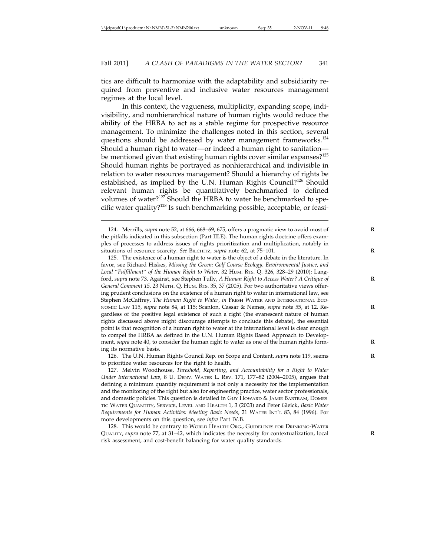tics are difficult to harmonize with the adaptability and subsidiarity required from preventive and inclusive water resources management regimes at the local level.

In this context, the vagueness, multiplicity, expanding scope, indivisibility, and nonhierarchical nature of human rights would reduce the ability of the HRBA to act as a stable regime for prospective resource management. To minimize the challenges noted in this section, several questions should be addressed by water management frameworks.<sup>124</sup> Should a human right to water—or indeed a human right to sanitation be mentioned given that existing human rights cover similar expanses?<sup>125</sup> Should human rights be portrayed as nonhierarchical and indivisible in relation to water resources management? Should a hierarchy of rights be established, as implied by the U.N. Human Rights Council?<sup>126</sup> Should relevant human rights be quantitatively benchmarked to defined volumes of water?127 Should the HRBA to water be benchmarked to specific water quality?128 Is such benchmarking possible, acceptable, or feasi-

126. The U.N. Human Rights Council Rep. on Scope and Content, *supra* note 119, seems to prioritize water resources for the right to health.

<sup>124.</sup> Merrills, *supra* note 52, at 666, 668–69, 675, offers a pragmatic view to avoid most of **R** the pitfalls indicated in this subsection (Part III.E). The human rights doctrine offers examples of processes to address issues of rights prioritization and multiplication, notably in situations of resource scarcity. See BILCHITZ, supra note 62, at 75-101.

<sup>125.</sup> The existence of a human right to water is the object of a debate in the literature. In favor, see Richard Hiskes, *Missing the Green: Golf Course Ecology, Environmental Justice, and Local* "*Fulfillment*" *of the Human Right to Water,* 32 HUM. RTS. Q. 326, 328–29 (2010); Langford, *supra* note 73. Against, see Stephen Tully, *A Human Right to Access Water? A Critique of* **R** *General Comment 15,* 23 NETH. Q. HUM. RTS. 35, 37 (2005). For two authoritative views offering prudent conclusions on the existence of a human right to water in international law, see Stephen McCaffrey, *The Human Right to Water, in* FRESH WATER AND INTERNATIONAL ECO-NOMIC LAW 115, *supra* note 84, at 115; Scanlon, Cassar & Nemes, *supra* note 55, at 12. Re- **R** gardless of the positive legal existence of such a right (the evanescent nature of human rights discussed above might discourage attempts to conclude this debate), the essential point is that recognition of a human right to water at the international level is clear enough to compel the HRBA as defined in the U.N. Human Rights Based Approach to Development, *supra* note 40, to consider the human right to water as one of the human rights forming its normative basis.

<sup>127.</sup> Melvin Woodhouse, *Threshold, Reporting, and Accountability for a Right to Water Under International Law*, 8 U. DENV. WATER L. REV. 171, 177–82 (2004–2005), argues that defining a minimum quantity requirement is not only a necessity for the implementation and the monitoring of the right but also for engineering practice, water sector professionals, and domestic policies. This question is detailed in GUY HOWARD & JAMIE BARTRAM, DOMES-TIC WATER QUANTITY, SERVICE, LEVEL AND HEALTH 1, 3 (2003) and Peter Gleick, *Basic Water Requirements for Human Activities: Meeting Basic Needs*, 21 WATER INT'L 83, 84 (1996). For more developments on this question, see *infra* Part IV.B.

<sup>128.</sup> This would be contrary to WORLD HEALTH ORG., GUIDELINES FOR DRINKING-WATER QUALITY, *supra* note 77, at 31–42, which indicates the necessity for contextualization, local **R** risk assessment, and cost-benefit balancing for water quality standards.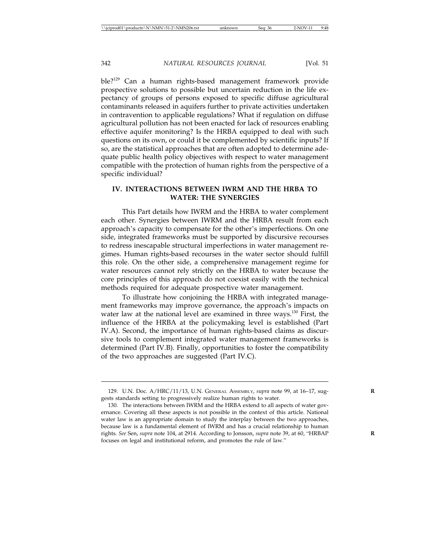ble?129 Can a human rights-based management framework provide prospective solutions to possible but uncertain reduction in the life expectancy of groups of persons exposed to specific diffuse agricultural contaminants released in aquifers further to private activities undertaken in contravention to applicable regulations? What if regulation on diffuse agricultural pollution has not been enacted for lack of resources enabling effective aquifer monitoring? Is the HRBA equipped to deal with such questions on its own, or could it be complemented by scientific inputs? If so, are the statistical approaches that are often adopted to determine adequate public health policy objectives with respect to water management compatible with the protection of human rights from the perspective of a specific individual?

# **IV. INTERACTIONS BETWEEN IWRM AND THE HRBA TO WATER: THE SYNERGIES**

This Part details how IWRM and the HRBA to water complement each other. Synergies between IWRM and the HRBA result from each approach's capacity to compensate for the other's imperfections. On one side, integrated frameworks must be supported by discursive recourses to redress inescapable structural imperfections in water management regimes. Human rights-based recourses in the water sector should fulfill this role. On the other side, a comprehensive management regime for water resources cannot rely strictly on the HRBA to water because the core principles of this approach do not coexist easily with the technical methods required for adequate prospective water management.

To illustrate how conjoining the HRBA with integrated management frameworks may improve governance, the approach's impacts on water law at the national level are examined in three ways.130 First, the influence of the HRBA at the policymaking level is established (Part IV.A). Second, the importance of human rights-based claims as discursive tools to complement integrated water management frameworks is determined (Part IV.B). Finally, opportunities to foster the compatibility of the two approaches are suggested (Part IV.C).

<sup>129.</sup> U.N. Doc. A/HRC/11/13, U.N. GENERAL ASSEMBLY, *supra* note 99, at 16–17, sug- **R** gests standards setting to progressively realize human rights to water.

<sup>130.</sup> The interactions between IWRM and the HRBA extend to all aspects of water governance. Covering all these aspects is not possible in the context of this article. National water law is an appropriate domain to study the interplay between the two approaches, because law is a fundamental element of IWRM and has a crucial relationship to human rights. *See* Sen, *supra* note 104, at 2914. According to Jonsson, *supra* note 39, at 60, "HRBAP **R** focuses on legal and institutional reform, and promotes the rule of law."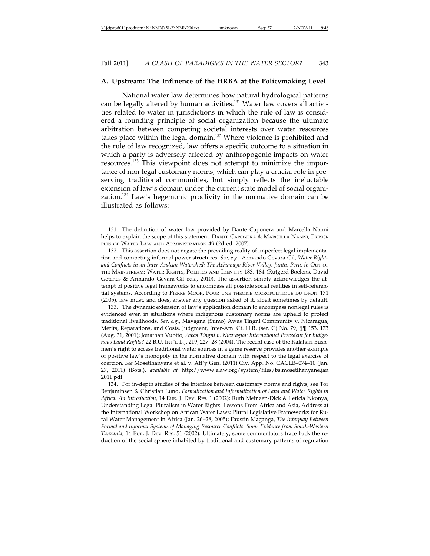#### **A. Upstream: The Influence of the HRBA at the Policymaking Level**

National water law determines how natural hydrological patterns can be legally altered by human activities.<sup>131</sup> Water law covers all activities related to water in jurisdictions in which the rule of law is considered a founding principle of social organization because the ultimate arbitration between competing societal interests over water resources takes place within the legal domain.<sup>132</sup> Where violence is prohibited and the rule of law recognized, law offers a specific outcome to a situation in which a party is adversely affected by anthropogenic impacts on water resources.133 This viewpoint does not attempt to minimize the importance of non-legal customary norms, which can play a crucial role in preserving traditional communities, but simply reflects the ineluctable extension of law's domain under the current state model of social organization.<sup>134</sup> Law's hegemonic proclivity in the normative domain can be illustrated as follows:

133. The dynamic extension of law's application domain to encompass nonlegal rules is evidenced even in situations where indigenous customary norms are upheld to protect traditional livelihoods. *See, e.g.*, Mayagna (Sumo) Awas Tingni Community v. Nicaragua, Merits, Reparations, and Costs, Judgment, Inter-Am. Ct. H.R. (ser. C) No. 79, ¶¶ 153, 173 (Aug. 31, 2001); Jonathan Vuotto, *Awas Tingni v. Nicaragua: International Precedent for Indigenous Land Rights?* 22 B.U. INT'L L.J. 219, 227–28 (2004). The recent case of the Kalahari Bushmen's right to access traditional water sources in a game reserve provides another example of positive law's monopoly in the normative domain with respect to the legal exercise of coercion. *See* Mosetlhanyane et al. v. Att'y Gen. (2011) Civ. App. No. CACLB–074–10 (Jan. 27, 2011) (Bots.), *available at* http://www.elaw.org/system/files/bs.mosetlhanyane.jan 2011.pdf.

134. For in-depth studies of the interface between customary norms and rights, see Tor Benjaminsen & Christian Lund, *Formalization and Informalization of Land and Water Rights in Africa: An Introduction*, 14 EUR. J. DEV. RES. 1 (2002); Ruth Meinzen-Dick & Leticia Nkonya, Understanding Legal Pluralism in Water Rights: Lessons From Africa and Asia, Address at the International Workshop on African Water Laws: Plural Legislative Frameworks for Rural Water Management in Africa (Jan. 26–28, 2005); Faustin Maganga, *The Interplay Between Formal and Informal Systems of Managing Resource Conflicts: Some Evidence from South-Western Tanzania,* 14 EUR. J. DEV. RES. 51 (2002). Ultimately, some commentators trace back the reduction of the social sphere inhabited by traditional and customary patterns of regulation

<sup>131.</sup> The definition of water law provided by Dante Caponera and Marcella Nanni helps to explain the scope of this statement. DANTE CAPONERA & MARCELLA NANNI, PRINCI-PLES OF WATER LAW AND ADMINISTRATION 49 (2d ed. 2007).

<sup>132.</sup> This assertion does not negate the prevailing reality of imperfect legal implementation and competing informal power structures. *See, e.g.,* Armando Gevara-Gil, *Water Rights and Conflicts in an Inter-Andean Watershed: The Achamayo River Valley, Jun´ın, Peru, in* OUT OF THE MAINSTREAM: WATER RIGHTS, POLITICS AND IDENTITY 183, 184 (Rutgerd Boelens, David Getches & Armando Gevara-Gil eds., 2010). The assertion simply acknowledges the attempt of positive legal frameworks to encompass all possible social realities in self-referential systems. According to PIERRE MOOR, POUR UNE THÉORIE MICROPOLITIQUE DU DROIT 171 (2005), law must, and does, answer any question asked of it, albeit sometimes by default.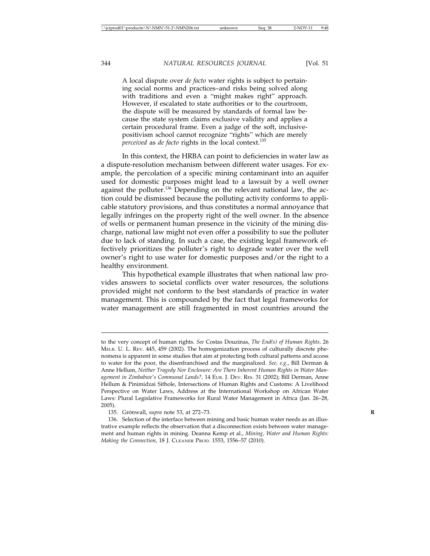A local dispute over *de facto* water rights is subject to pertaining social norms and practices–and risks being solved along with traditions and even a "might makes right" approach. However, if escalated to state authorities or to the courtroom, the dispute will be measured by standards of formal law because the state system claims exclusive validity and applies a certain procedural frame. Even a judge of the soft, inclusivepositivism school cannot recognize "rights" which are merely *perceived* as *de facto* rights in the local context.135

In this context, the HRBA can point to deficiencies in water law as a dispute-resolution mechanism between different water usages. For example, the percolation of a specific mining contaminant into an aquifer used for domestic purposes might lead to a lawsuit by a well owner against the polluter.<sup>136</sup> Depending on the relevant national law, the action could be dismissed because the polluting activity conforms to applicable statutory provisions, and thus constitutes a normal annoyance that legally infringes on the property right of the well owner. In the absence of wells or permanent human presence in the vicinity of the mining discharge, national law might not even offer a possibility to sue the polluter due to lack of standing. In such a case, the existing legal framework effectively prioritizes the polluter's right to degrade water over the well owner's right to use water for domestic purposes and/or the right to a healthy environment.

This hypothetical example illustrates that when national law provides answers to societal conflicts over water resources, the solutions provided might not conform to the best standards of practice in water management. This is compounded by the fact that legal frameworks for water management are still fragmented in most countries around the

to the very concept of human rights. *See* Costas Douzinas, *The End(s) of Human Rights,* 26 MELB. U. L. REV. 445, 459 (2002). The homogenization process of culturally discrete phenomena is apparent in some studies that aim at protecting both cultural patterns and access to water for the poor, the disenfranchised and the marginalized. *See, e.g.*, Bill Derman & Anne Hellum, *Neither Tragedy Nor Enclosure: Are There Inherent Human Rights in Water Management in Zimbabwe*'*s Communal Lands?,* 14 EUR. J. DEV. RES. 31 (2002); Bill Derman, Anne Hellum & Pinimidzai Sithole, Intersections of Human Rights and Customs: A Livelihood Perspective on Water Laws, Address at the International Workshop on African Water Laws: Plural Legislative Frameworks for Rural Water Management in Africa (Jan. 26–28, 2005).

<sup>135.</sup> Grönwall, *supra* note 53, at 272-73.

<sup>136.</sup> Selection of the interface between mining and basic human water needs as an illustrative example reflects the observation that a disconnection exists between water management and human rights in mining. Deanna Kemp et al., *Mining, Water and Human Rights: Making the Connection*, 18 J. CLEANER PROD. 1553, 1556–57 (2010).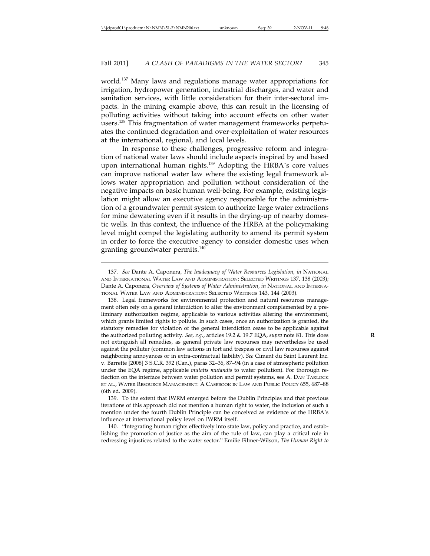world.137 Many laws and regulations manage water appropriations for irrigation, hydropower generation, industrial discharges, and water and sanitation services, with little consideration for their inter-sectoral impacts. In the mining example above, this can result in the licensing of polluting activities without taking into account effects on other water users.138 This fragmentation of water management frameworks perpetuates the continued degradation and over-exploitation of water resources at the international, regional, and local levels.

In response to these challenges, progressive reform and integration of national water laws should include aspects inspired by and based upon international human rights.<sup>139</sup> Adopting the HRBA's core values can improve national water law where the existing legal framework allows water appropriation and pollution without consideration of the negative impacts on basic human well-being. For example, existing legislation might allow an executive agency responsible for the administration of a groundwater permit system to authorize large water extractions for mine dewatering even if it results in the drying-up of nearby domestic wells. In this context, the influence of the HRBA at the policymaking level might compel the legislating authority to amend its permit system in order to force the executive agency to consider domestic uses when granting groundwater permits.<sup>140</sup>

139. To the extent that IWRM emerged before the Dublin Principles and that previous iterations of this approach did not mention a human right to water, the inclusion of such a mention under the fourth Dublin Principle can be conceived as evidence of the HRBA's influence at international policy level on IWRM itself.

140. "Integrating human rights effectively into state law, policy and practice, and establishing the promotion of justice as the aim of the rule of law, can play a critical role in redressing injustices related to the water sector." Emilie Filmer-Wilson, *The Human Right to*

<sup>137.</sup> *See* Dante A. Caponera, *The Inadequacy of Water Resources Legislation*, *in* NATIONAL AND INTERNATIONAL WATER LAW AND ADMINISTRATION: SELECTED WRITINGS 137, 138 (2003); Dante A. Caponera, *Overview of Systems of Water Administration*, *in* NATIONAL AND INTERNA-TIONAL WATER LAW AND ADMINISTRATION: SELECTED WRITINGS 143, 144 (2003).

<sup>138.</sup> Legal frameworks for environmental protection and natural resources management often rely on a general interdiction to alter the environment complemented by a preliminary authorization regime, applicable to various activities altering the environment, which grants limited rights to pollute. In such cases, once an authorization is granted, the statutory remedies for violation of the general interdiction cease to be applicable against the authorized polluting activity. *See, e.g.*, articles 19.2 & 19.7 EQA, *supra* note 81. This does **R** not extinguish all remedies, as general private law recourses may nevertheless be used against the polluter (common law actions in tort and trespass or civil law recourses against neighboring annoyances or in extra-contractual liability). *See* Ciment du Saint Laurent Inc. v. Barrette [2008] 3 S.C.R. 392 (Can.), paras 32–36, 87–94 (in a case of atmospheric pollution under the EQA regime, applicable *mutatis mutandis* to water pollution). For thorough reflection on the interface between water pollution and permit systems, see A. DAN TARLOCK ET AL., WATER RESOURCE MANAGEMENT: A CASEBOOK IN LAW AND PUBLIC POLICY 655, 687–88 (6th ed. 2009).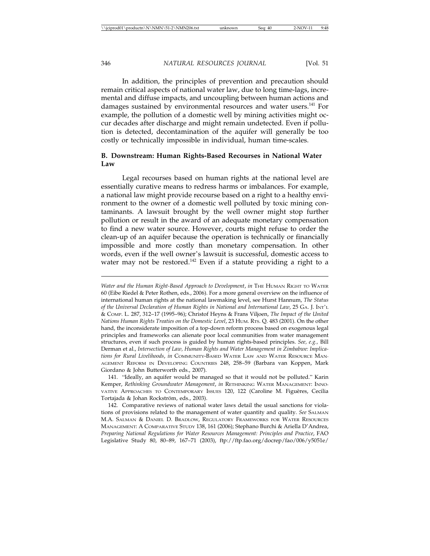In addition, the principles of prevention and precaution should remain critical aspects of national water law, due to long time-lags, incremental and diffuse impacts, and uncoupling between human actions and damages sustained by environmental resources and water users.<sup>141</sup> For example, the pollution of a domestic well by mining activities might occur decades after discharge and might remain undetected. Even if pollution is detected, decontamination of the aquifer will generally be too costly or technically impossible in individual, human time-scales.

#### **B. Downstream: Human Rights-Based Recourses in National Water Law**

Legal recourses based on human rights at the national level are essentially curative means to redress harms or imbalances. For example, a national law might provide recourse based on a right to a healthy environment to the owner of a domestic well polluted by toxic mining contaminants. A lawsuit brought by the well owner might stop further pollution or result in the award of an adequate monetary compensation to find a new water source. However, courts might refuse to order the clean-up of an aquifer because the operation is technically or financially impossible and more costly than monetary compensation. In other words, even if the well owner's lawsuit is successful, domestic access to water may not be restored.<sup>142</sup> Even if a statute providing a right to a

*Water and the Human Right-Based Approach to Development, in* THE HUMAN RIGHT TO WATER 60 (Eibe Riedel & Peter Rothen, eds., 2006). For a more general overview on the influence of international human rights at the national lawmaking level, see Hurst Hannum, *The Status of the Universal Declaration of Human Rights in National and International Law*, 25 GA. J. INT'L & COMP. L. 287, 312–17 (1995–96); Christof Heyns & Frans Viljoen, *The Impact of the United Nations Human Rights Treaties on the Domestic Level*, 23 HUM. RTS. Q. 483 (2001). On the other hand, the inconsiderate imposition of a top-down reform process based on exogenous legal principles and frameworks can alienate poor local communities from water management structures, even if such process is guided by human rights-based principles. *See, e.g.,* Bill Derman et al., *Intersection of Law, Human Rights and Water Management in Zimbabwe: Implications for Rural Livelihoods*, *in* COMMUNITY-BASED WATER LAW AND WATER RESOURCE MAN-AGEMENT REFORM IN DEVELOPING COUNTRIES 248, 258–59 (Barbara van Koppen, Mark Giordano & John Butterworth eds., 2007).

<sup>141.</sup> "Ideally, an aquifer would be managed so that it would not be polluted." Karin Kemper, *Rethinking Groundwater Management*, *in* RETHINKING WATER MANAGEMENT: INNO-VATIVE APPROACHES TO CONTEMPORARY ISSUES 120, 122 (Caroline M. Figuères, Cecilia Tortajada & Johan Rockström, eds., 2003).

<sup>142.</sup> Comparative reviews of national water laws detail the usual sanctions for violations of provisions related to the management of water quantity and quality. *See* SALMAN M.A. SALMAN & DANIEL D. BRADLOW, REGULATORY FRAMEWORKS FOR WATER RESOURCES MANAGEMENT: A COMPARATIVE STUDY 138, 161 (2006); Stephano Burchi & Ariella D'Andrea, *Preparing National Regulations for Water Resources Management: Principles and Practice*, FAO Legislative Study 80, 80–89, 167–71 (2003), ftp://ftp.fao.org/docrep/fao/006/y5051e/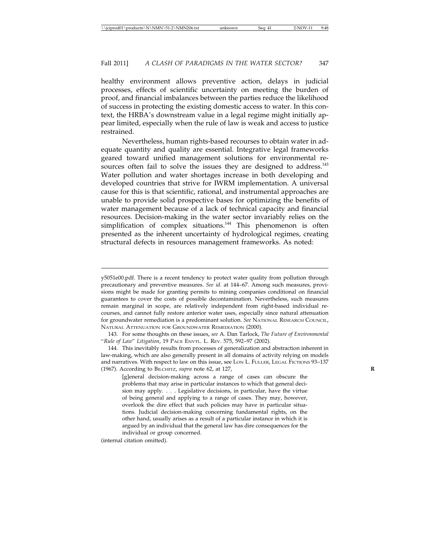healthy environment allows preventive action, delays in judicial processes, effects of scientific uncertainty on meeting the burden of proof, and financial imbalances between the parties reduce the likelihood of success in protecting the existing domestic access to water. In this context, the HRBA's downstream value in a legal regime might initially appear limited, especially when the rule of law is weak and access to justice restrained.

Nevertheless, human rights-based recourses to obtain water in adequate quantity and quality are essential. Integrative legal frameworks geared toward unified management solutions for environmental resources often fail to solve the issues they are designed to address.<sup>143</sup> Water pollution and water shortages increase in both developing and developed countries that strive for IWRM implementation. A universal cause for this is that scientific, rational, and instrumental approaches are unable to provide solid prospective bases for optimizing the benefits of water management because of a lack of technical capacity and financial resources. Decision-making in the water sector invariably relies on the simplification of complex situations.<sup>144</sup> This phenomenon is often presented as the inherent uncertainty of hydrological regimes, creating structural defects in resources management frameworks. As noted:

144. This inevitably results from processes of generalization and abstraction inherent in law-making, which are also generally present in all domains of activity relying on models and narratives. With respect to law on this issue, see LON L. FULLER, LEGAL FICTIONS 93–137 (1967). According to BILCHITZ, *supra* note 62, at 127, **R**

[g]eneral decision-making across a range of cases can obscure the problems that may arise in particular instances to which that general decision may apply. . . . Legislative decisions, in particular, have the virtue of being general and applying to a range of cases. They may, however, overlook the dire effect that such policies may have in particular situations. Judicial decision-making concerning fundamental rights, on the other hand, usually arises as a result of a particular instance in which it is argued by an individual that the general law has dire consequences for the individual or group concerned.

(internal citation omitted).

y5051e00.pdf. There is a recent tendency to protect water quality from pollution through precautionary and preventive measures. *See id.* at 144–67. Among such measures, provisions might be made for granting permits to mining companies conditional on financial guarantees to cover the costs of possible decontamination. Nevertheless, such measures remain marginal in scope, are relatively independent from right-based individual recourses, and cannot fully restore anterior water uses, especially since natural attenuation for groundwater remediation is a predominant solution. *See* NATIONAL RESEARCH COUNCIL, NATURAL ATTENUATION FOR GROUNDWATER REMEDIATION (2000).

<sup>143.</sup> For some thoughts on these issues, *see* A. Dan Tarlock, *The Future of Environmental* "*Rule of Law*" *Litigation*, 19 PACE ENVTL. L. REV. 575, 592–97 (2002).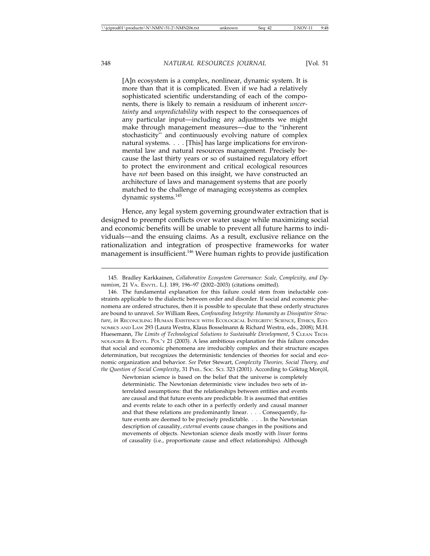[A]n ecosystem is a complex, nonlinear, dynamic system. It is more than that it is complicated. Even if we had a relatively sophisticated scientific understanding of each of the components, there is likely to remain a residuum of inherent *uncertainty* and *unpredictability* with respect to the consequences of any particular input—including any adjustments we might make through management measures—due to the "inherent stochasticity" and continuously evolving nature of complex natural systems. . . . [This] has large implications for environmental law and natural resources management. Precisely because the last thirty years or so of sustained regulatory effort to protect the environment and critical ecological resources have *not* been based on this insight, we have constructed an architecture of laws and management systems that are poorly matched to the challenge of managing ecosystems as complex dynamic systems.145

Hence, any legal system governing groundwater extraction that is designed to preempt conflicts over water usage while maximizing social and economic benefits will be unable to prevent all future harms to individuals—and the ensuing claims. As a result, exclusive reliance on the rationalization and integration of prospective frameworks for water management is insufficient.146 Were human rights to provide justification

146. The fundamental explanation for this failure could stem from ineluctable constraints applicable to the dialectic between order and disorder. If social and economic phenomena are ordered structures, then it is possible to speculate that these orderly structures are bound to unravel. *See* William Rees, *Confounding Integrity: Humanity as Dissipative Structure*, *in* RECONCILING HUMAN EXISTENCE WITH ECOLOGICAL INTEGRITY: SCIENCE, ETHICS, ECO-NOMICS AND LAW 293 (Laura Westra, Klaus Bosselmann & Richard Westra, eds., 2008); M.H. Huesemann, *The Limits of Technological Solutions to Sustainable Development*, 5 CLEAN TECH-NOLOGIES & ENVTL. POL'Y 21 (2003). A less ambitious explanation for this failure concedes that social and economic phenomena are irreducibly complex and their structure escapes determination, but recognizes the deterministic tendencies of theories for social and economic organization and behavior. *See* Peter Stewart, *Complexity Theories, Social Theory, and the Question of Social Complexity, 31 PHIL. Soc. Sci. 323 (2001). According to Göktug Morçöl,* 

Newtonian science is based on the belief that the universe is completely deterministic. The Newtonian deterministic view includes two sets of interrelated assumptions: that the relationships between entities and events are causal and that future events are predictable. It is assumed that entities and events relate to each other in a perfectly orderly and causal manner and that these relations are predominantly linear. . . . Consequently, future events are deemed to be precisely predictable. . . . In the Newtonian description of causality, *external* events cause changes in the positions and movements of objects. Newtonian science deals mostly with *linear* forms of causality (i.e., proportionate cause and effect relationships). Although

<sup>145.</sup> Bradley Karkkainen, *Collaborative Ecosystem Governance: Scale, Complexity, and Dynamism*, 21 VA. ENVTL. L.J. 189, 196–97 (2002–2003) (citations omitted).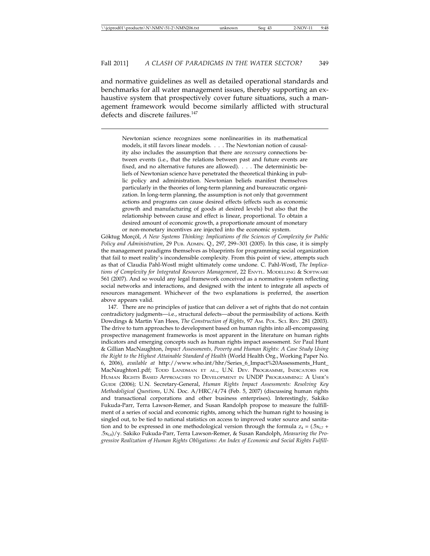and normative guidelines as well as detailed operational standards and benchmarks for all water management issues, thereby supporting an exhaustive system that prospectively cover future situations, such a management framework would become similarly afflicted with structural defects and discrete failures.<sup>147</sup>

Newtonian science recognizes some nonlinearities in its mathematical models, it still favors linear models. . . . The Newtonian notion of causality also includes the assumption that there are *necessary* connections between events (i.e., that the relations between past and future events are fixed, and no alternative futures are allowed). . . . The deterministic beliefs of Newtonian science have penetrated the theoretical thinking in public policy and administration. Newtonian beliefs manifest themselves particularly in the theories of long-term planning and bureaucratic organization. In long-term planning, the assumption is not only that government actions and programs can cause desired effects (effects such as economic growth and manufacturing of goods at desired levels) but also that the relationship between cause and effect is linear, proportional. To obtain a desired amount of economic growth, a proportionate amount of monetary or non-monetary incentives are injected into the economic system.

Göktug Morçöl, *A New Systems Thinking: Implications of the Sciences of Complexity for Public Policy and Administration*, 29 PUB. ADMIN. Q., 297, 299–301 (2005). In this case, it is simply the management paradigms themselves as blueprints for programming social organization that fail to meet reality's incondensible complexity. From this point of view, attempts such as that of Claudia Pahl-Wostl might ultimately come undone. C. Pahl-Wostl, *The Implications of Complexity for Integrated Resources Management*, 22 ENVTL. MODELLING & SOFTWARE 561 (2007). And so would any legal framework conceived as a normative system reflecting social networks and interactions, and designed with the intent to integrate all aspects of resources management. Whichever of the two explanations is preferred, the assertion above appears valid.

147. There are no principles of justice that can deliver a set of rights that do not contain contradictory judgments—i.e., structural defects—about the permissibility of actions. Keith Dowdings & Martin Van Hees, *The Construction of Rights*, 97 AM. POL. SCI. REV. 281 (2003). The drive to turn approaches to development based on human rights into all-encompassing prospective management frameworks is most apparent in the literature on human rights indicators and emerging concepts such as human rights impact assessment. *See* Paul Hunt & Gillian MacNaughton, *Impact Assessments, Poverty and Human Rights: A Case Study Using the Right to the Highest Attainable Standard of Health* (World Health Org., Working Paper No. 6, 2006), *available at* http://www.who.int/hhr/Series\_6\_Impact%20Assessments\_Hunt\_ MacNaughton1.pdf; TODD LANDMAN ET AL., U.N. DEV. PROGRAMME, INDICATORS FOR HUMAN RIGHTS BASED APPROACHES TO DEVELOPMENT IN UNDP PROGRAMMING: A USER'S GUIDE (2006); U.N. Secretary-General, *Human Rights Impact Assessments: Resolving Key Methodoligical Questions*, U.N. Doc. A/HRC/4/74 (Feb. 5, 2007) (discussing human rights and transactional corporations and other business enterprises). Interestingly, Sakiko Fukuda-Parr, Terra Lawson-Remer, and Susan Randolph propose to measure the fulfillment of a series of social and economic rights, among which the human right to housing is singled out, to be tied to national statistics on access to improved water source and sanitation and to be expressed in one methodological version through the formula  $z_4 = (.5x_{L7} + )$ .5xL8)/y. Sakiko Fukuda-Parr, Terra Lawson-Remer, & Susan Randolph, *Measuring the Progressive Realization of Human Rights Obligations: An Index of Economic and Social Rights Fulfill-*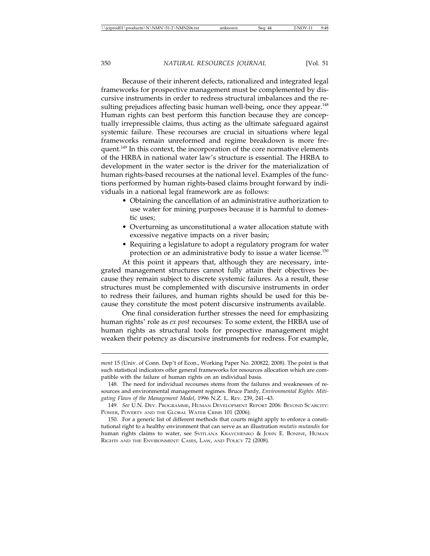Because of their inherent defects, rationalized and integrated legal frameworks for prospective management must be complemented by discursive instruments in order to redress structural imbalances and the resulting prejudices affecting basic human well-being, once they appear.<sup>148</sup> Human rights can best perform this function because they are conceptually irrepressible claims, thus acting as the ultimate safeguard against systemic failure. These recourses are crucial in situations where legal frameworks remain unreformed and regime breakdown is more frequent.<sup>149</sup> In this context, the incorporation of the core normative elements of the HRBA in national water law's structure is essential. The HRBA to development in the water sector is the driver for the materialization of human rights-based recourses at the national level. Examples of the functions performed by human rights-based claims brought forward by individuals in a national legal framework are as follows:

- Obtaining the cancellation of an administrative authorization to use water for mining purposes because it is harmful to domestic uses;
- Overturning as unconstitutional a water allocation statute with excessive negative impacts on a river basin;
- Requiring a legislature to adopt a regulatory program for water protection or an administrative body to issue a water license.<sup>150</sup>

At this point it appears that, although they are necessary, integrated management structures cannot fully attain their objectives because they remain subject to discrete systemic failures. As a result, these structures must be complemented with discursive instruments in order to redress their failures, and human rights should be used for this because they constitute the most potent discursive instruments available.

One final consideration further stresses the need for emphasizing human rights' role as *ex post* recourses: To some extent, the HRBA use of human rights as structural tools for prospective management might weaken their potency as discursive instruments for redress. For example,

*ment* 15 (Univ. of Conn. Dep't of Econ., Working Paper No. 200822, 2008). The point is that such statistical indicators offer general frameworks for resources allocation which are compatible with the failure of human rights on an individual basis.

<sup>148.</sup> The need for individual recourses stems from the failures and weaknesses of resources and environmental management regimes. Bruce Pardy, *Environmental Rights: Mitigating Flaws of the Management Model*, 1996 N.Z. L. REV. 239, 241–43.

<sup>149.</sup> *See* U.N. DEV. PROGRAMME, HUMAN DEVELOPMENT REPORT 2006: BEYOND SCARCITY: POWER, POVERTY AND THE GLOBAL WATER CRISIS 101 (2006).

<sup>150.</sup> For a generic list of different methods that courts might apply to enforce a constitutional right to a healthy environment that can serve as an illustration *mutatis mutandis* for human rights claims to water, see SVITLANA KRAVCHENKO & JOHN E. BONINE, HUMAN RIGHTS AND THE ENVIRONMENT: CASES, LAW, AND POLICY 72 (2008).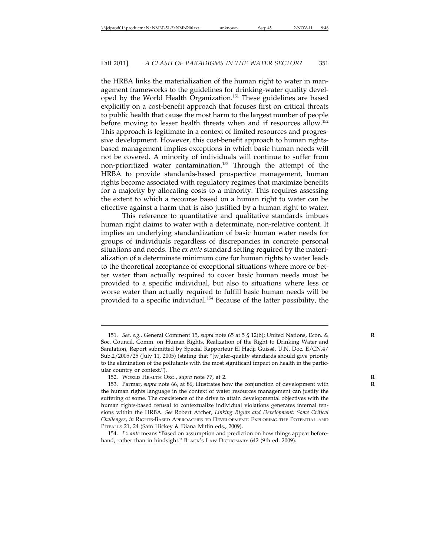the HRBA links the materialization of the human right to water in management frameworks to the guidelines for drinking-water quality developed by the World Health Organization.151 These guidelines are based explicitly on a cost-benefit approach that focuses first on critical threats to public health that cause the most harm to the largest number of people before moving to lesser health threats when and if resources allow.152 This approach is legitimate in a context of limited resources and progressive development. However, this cost-benefit approach to human rightsbased management implies exceptions in which basic human needs will not be covered. A minority of individuals will continue to suffer from non-prioritized water contamination.<sup>153</sup> Through the attempt of the HRBA to provide standards-based prospective management, human rights become associated with regulatory regimes that maximize benefits for a majority by allocating costs to a minority. This requires assessing the extent to which a recourse based on a human right to water can be effective against a harm that is also justified by a human right to water.

This reference to quantitative and qualitative standards imbues human right claims to water with a determinate, non-relative content. It implies an underlying standardization of basic human water needs for groups of individuals regardless of discrepancies in concrete personal situations and needs. The *ex ante* standard setting required by the materialization of a determinate minimum core for human rights to water leads to the theoretical acceptance of exceptional situations where more or better water than actually required to cover basic human needs must be provided to a specific individual, but also to situations where less or worse water than actually required to fulfill basic human needs will be provided to a specific individual.154 Because of the latter possibility, the

<sup>151.</sup> *See, e.g.*, General Comment 15, *supra* note 65 at 5 § 12(b); United Nations, Econ. & **R** Soc. Council, Comm. on Human Rights, Realization of the Right to Drinking Water and Sanitation, Report submitted by Special Rapporteur El Hadji Guissé, U.N. Doc. E/CN.4/ Sub.2/2005/25 (July 11, 2005) (stating that "[w]ater-quality standards should give priority to the elimination of the pollutants with the most significant impact on health in the particular country or context.").

<sup>152.</sup> WORLD HEALTH ORG., *supra* note 77, at 2. **R**

<sup>153.</sup> Parmar, *supra* note 66, at 86, illustrates how the conjunction of development with the human rights language in the context of water resources management can justify the suffering of some. The coexistence of the drive to attain developmental objectives with the human rights-based refusal to contextualize individual violations generates internal tensions within the HRBA. *See* Robert Archer, *Linking Rights and Development: Some Critical Challenges*, *in* RIGHTS-BASED APPROACHES TO DEVELOPMENT: EXPLORING THE POTENTIAL AND PITFALLS 21, 24 (Sam Hickey & Diana Mitlin eds., 2009).

<sup>154.</sup> *Ex ante* means "Based on assumption and prediction on how things appear beforehand, rather than in hindsight." BLACK's LAW DICTIONARY 642 (9th ed. 2009).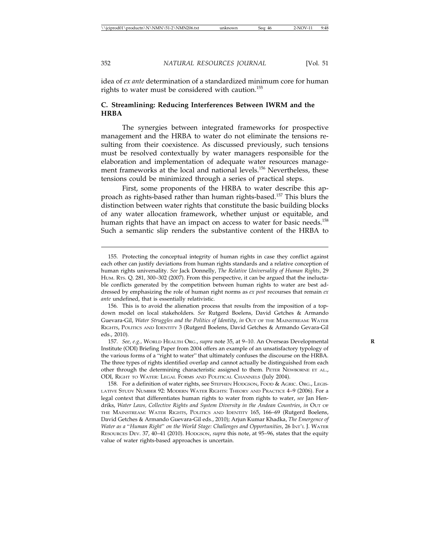idea of *ex ante* determination of a standardized minimum core for human rights to water must be considered with caution.<sup>155</sup>

#### **C. Streamlining: Reducing Interferences Between IWRM and the HRBA**

The synergies between integrated frameworks for prospective management and the HRBA to water do not eliminate the tensions resulting from their coexistence. As discussed previously, such tensions must be resolved contextually by water managers responsible for the elaboration and implementation of adequate water resources management frameworks at the local and national levels.156 Nevertheless, these tensions could be minimized through a series of practical steps.

First, some proponents of the HRBA to water describe this approach as rights-based rather than human rights-based.<sup>157</sup> This blurs the distinction between water rights that constitute the basic building blocks of any water allocation framework, whether unjust or equitable, and human rights that have an impact on access to water for basic needs.<sup>158</sup> Such a semantic slip renders the substantive content of the HRBA to

157. *See, e.g.,* WORLD HEALTH ORG., *supra* note 35, at 9–10. An Overseas Developmental **R** Institute (ODI) Briefing Paper from 2004 offers an example of an unsatisfactory typology of the various forms of a "right to water" that ultimately confuses the discourse on the HRBA. The three types of rights identified overlap and cannot actually be distinguished from each other through the determining characteristic assigned to them. PETER NEWBORNE ET AL., ODI, RIGHT TO WATER: LEGAL FORMS AND POLITICAL CHANNELS (July 2004).

158. For a definition of water rights, see STEPHEN HODGSON, FOOD & AGRIC. ORG., LEGIS-LATIVE STUDY NUMBER 92: MODERN WATER RIGHTS: THEORY AND PRACTICE 4–9 (2006). For a legal context that differentiates human rights to water from rights to water, *see* Jan Hendriks, *Water Laws, Collective Rights and System Diversity in the Andean Countries*, *in* OUT OF THE MAINSTREAM: WATER RIGHTS, POLITICS AND IDENTITY 165, 166–69 (Rutgerd Boelens, David Getches & Armando Guevara-Gil eds., 2010); Arjun Kumar Khadka, *The Emergence of Water as a* "*Human Right*" *on the World Stage: Challenges and Opportunities*, 26 INT'L J. WATER RESOURCES DEV. 37, 40–41 (2010). HODGSON, *supra* this note, at 95–96, states that the equity value of water rights-based approaches is uncertain.

<sup>155.</sup> Protecting the conceptual integrity of human rights in case they conflict against each other can justify deviations from human rights standards and a relative conception of human rights universality. *See* Jack Donnelly, *The Relative Universality of Human Rights*, 29 HUM. RTS. Q. 281, 300–302 (2007). From this perspective, it can be argued that the ineluctable conflicts generated by the competition between human rights to water are best addressed by emphasizing the role of human right norms as *ex post* recourses that remain *ex ante* undefined, that is essentially relativistic.

<sup>156.</sup> This is to avoid the alienation process that results from the imposition of a topdown model on local stakeholders. *See* Rutgerd Boelens, David Getches & Armando Guevara-Gil, *Water Struggles and the Politics of Identity*, *in* OUT OF THE MAINSTREAM: WATER RIGHTS, POLITICS AND IDENTITY 3 (Rutgerd Boelens, David Getches & Armando Gevara-Gil eds., 2010).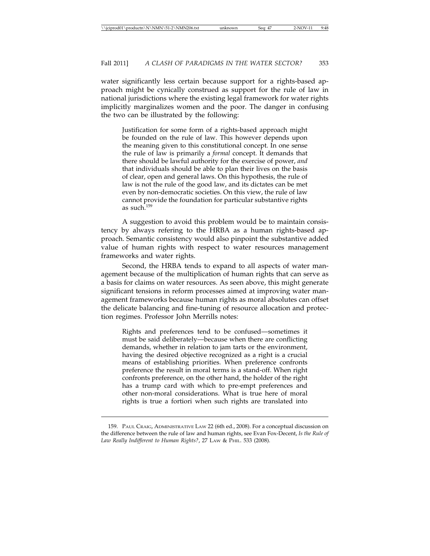water significantly less certain because support for a rights-based approach might be cynically construed as support for the rule of law in national jurisdictions where the existing legal framework for water rights implicitly marginalizes women and the poor. The danger in confusing the two can be illustrated by the following:

Justification for some form of a rights-based approach might be founded on the rule of law. This however depends upon the meaning given to this constitutional concept. In one sense the rule of law is primarily a *formal* concept. It demands that there should be lawful authority for the exercise of power, *and* that individuals should be able to plan their lives on the basis of clear, open and general laws. On this hypothesis, the rule of law is not the rule of the good law, and its dictates can be met even by non-democratic societies. On this view, the rule of law cannot provide the foundation for particular substantive rights as such.159

A suggestion to avoid this problem would be to maintain consistency by always refering to the HRBA as a human rights-based approach. Semantic consistency would also pinpoint the substantive added value of human rights with respect to water resources management frameworks and water rights.

Second, the HRBA tends to expand to all aspects of water management because of the multiplication of human rights that can serve as a basis for claims on water resources. As seen above, this might generate significant tensions in reform processes aimed at improving water management frameworks because human rights as moral absolutes can offset the delicate balancing and fine-tuning of resource allocation and protection regimes. Professor John Merrills notes:

Rights and preferences tend to be confused—sometimes it must be said deliberately—because when there are conflicting demands, whether in relation to jam tarts or the environment, having the desired objective recognized as a right is a crucial means of establishing priorities. When preference confronts preference the result in moral terms is a stand-off. When right confronts preference, on the other hand, the holder of the right has a trump card with which to pre-empt preferences and other non-moral considerations. What is true here of moral rights is true a fortiori when such rights are translated into

159. PAUL CRAIG, ADMINISTRATIVE LAW 22 (6th ed., 2008). For a conceptual discussion on the difference between the rule of law and human rights, see Evan Fox-Decent, *Is the Rule of* Law Really Indifferent to Human Rights?, 27 LAW & PHIL. 533 (2008).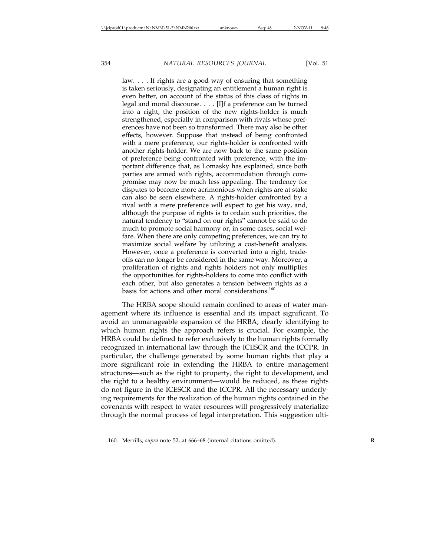law. . . . If rights are a good way of ensuring that something is taken seriously, designating an entitlement a human right is even better, on account of the status of this class of rights in legal and moral discourse. . . . [I]f a preference can be turned into a right, the position of the new rights-holder is much strengthened, especially in comparison with rivals whose preferences have not been so transformed. There may also be other effects, however. Suppose that instead of being confronted with a mere preference, our rights-holder is confronted with another rights-holder. We are now back to the same position of preference being confronted with preference, with the important difference that, as Lomasky has explained, since both parties are armed with rights, accommodation through compromise may now be much less appealing. The tendency for disputes to become more acrimonious when rights are at stake can also be seen elsewhere. A rights-holder confronted by a rival with a mere preference will expect to get his way, and, although the purpose of rights is to ordain such priorities, the natural tendency to "stand on our rights" cannot be said to do much to promote social harmony or, in some cases, social welfare. When there are only competing preferences, we can try to maximize social welfare by utilizing a cost-benefit analysis. However, once a preference is converted into a right, tradeoffs can no longer be considered in the same way. Moreover, a proliferation of rights and rights holders not only multiplies the opportunities for rights-holders to come into conflict with each other, but also generates a tension between rights as a basis for actions and other moral considerations.<sup>160</sup>

The HRBA scope should remain confined to areas of water management where its influence is essential and its impact significant. To avoid an unmanageable expansion of the HRBA, clearly identifying to which human rights the approach refers is crucial. For example, the HRBA could be defined to refer exclusively to the human rights formally recognized in international law through the ICESCR and the ICCPR. In particular, the challenge generated by some human rights that play a more significant role in extending the HRBA to entire management structures—such as the right to property, the right to development, and the right to a healthy environment—would be reduced, as these rights do not figure in the ICESCR and the ICCPR. All the necessary underlying requirements for the realization of the human rights contained in the covenants with respect to water resources will progressively materialize through the normal process of legal interpretation. This suggestion ulti-

<sup>160.</sup> Merrills, *supra* note 52, at 666–68 (internal citations omitted). **R**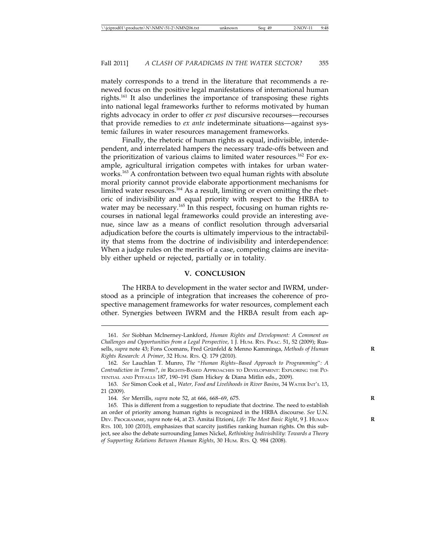mately corresponds to a trend in the literature that recommends a renewed focus on the positive legal manifestations of international human rights.161 It also underlines the importance of transposing these rights into national legal frameworks further to reforms motivated by human rights advocacy in order to offer *ex post* discursive recourses—recourses that provide remedies to *ex ante* indeterminate situations—against systemic failures in water resources management frameworks.

Finally, the rhetoric of human rights as equal, indivisible, interdependent, and interrelated hampers the necessary trade-offs between and the prioritization of various claims to limited water resources.<sup>162</sup> For example, agricultural irrigation competes with intakes for urban waterworks.163 A confrontation between two equal human rights with absolute moral priority cannot provide elaborate apportionment mechanisms for limited water resources.<sup>164</sup> As a result, limiting or even omitting the rhetoric of indivisibility and equal priority with respect to the HRBA to water may be necessary.<sup>165</sup> In this respect, focusing on human rights recourses in national legal frameworks could provide an interesting avenue, since law as a means of conflict resolution through adversarial adjudication before the courts is ultimately impervious to the intractability that stems from the doctrine of indivisibility and interdependence: When a judge rules on the merits of a case, competing claims are inevitably either upheld or rejected, partially or in totality.

#### **V. CONCLUSION**

The HRBA to development in the water sector and IWRM, understood as a principle of integration that increases the coherence of prospective management frameworks for water resources, complement each other. Synergies between IWRM and the HRBA result from each ap-

<sup>161.</sup> *See* Siobhan McInerney-Lankford, *Human Rights and Development: A Comment on Challenges and Opportunities from a Legal Perspective*, 1 J. HUM. RTS. PRAC. 51, 52 (2009); Russells, *supra* note 43; Fons Coomans, Fred Grünfeld & Menno Kamminga, Methods of Human *Rights Research: A Primer*, 32 HUM. RTS. Q. 179 (2010).

<sup>162.</sup> *See* Lauchlan T. Munro, *The* "*Human Rights–Based Approach to Programming*"*: A Contradiction in Terms?*, *in* RIGHTS-BASED APPROACHES TO DEVELOPMENT: EXPLORING THE PO-TENTIAL AND PITFALLS 187, 190–191 (Sam Hickey & Diana Mitlin eds., 2009).

<sup>163.</sup> *See* Simon Cook et al., *Water, Food and Livelihoods in River Basins*, 34 WATER INT'L 13, 21 (2009).

<sup>164.</sup> *See* Merrills, *supra* note 52, at 666, 668–69, 675. **R**

<sup>165.</sup> This is different from a suggestion to repudiate that doctrine. The need to establish an order of priority among human rights is recognized in the HRBA discourse. *See* U.N. DEV. PROGRAMME, *supra* note 64, at 23. Amitai Etzioni, *Life: The Most Basic Right*, 9 J. HUMAN **R** RTS. 100, 100 (2010), emphasizes that scarcity justifies ranking human rights. On this subject, see also the debate surrounding James Nickel, *Rethinking Indivisibility: Towards a Theory of Supporting Relations Between Human Rights*, 30 HUM. RTS. Q. 984 (2008).